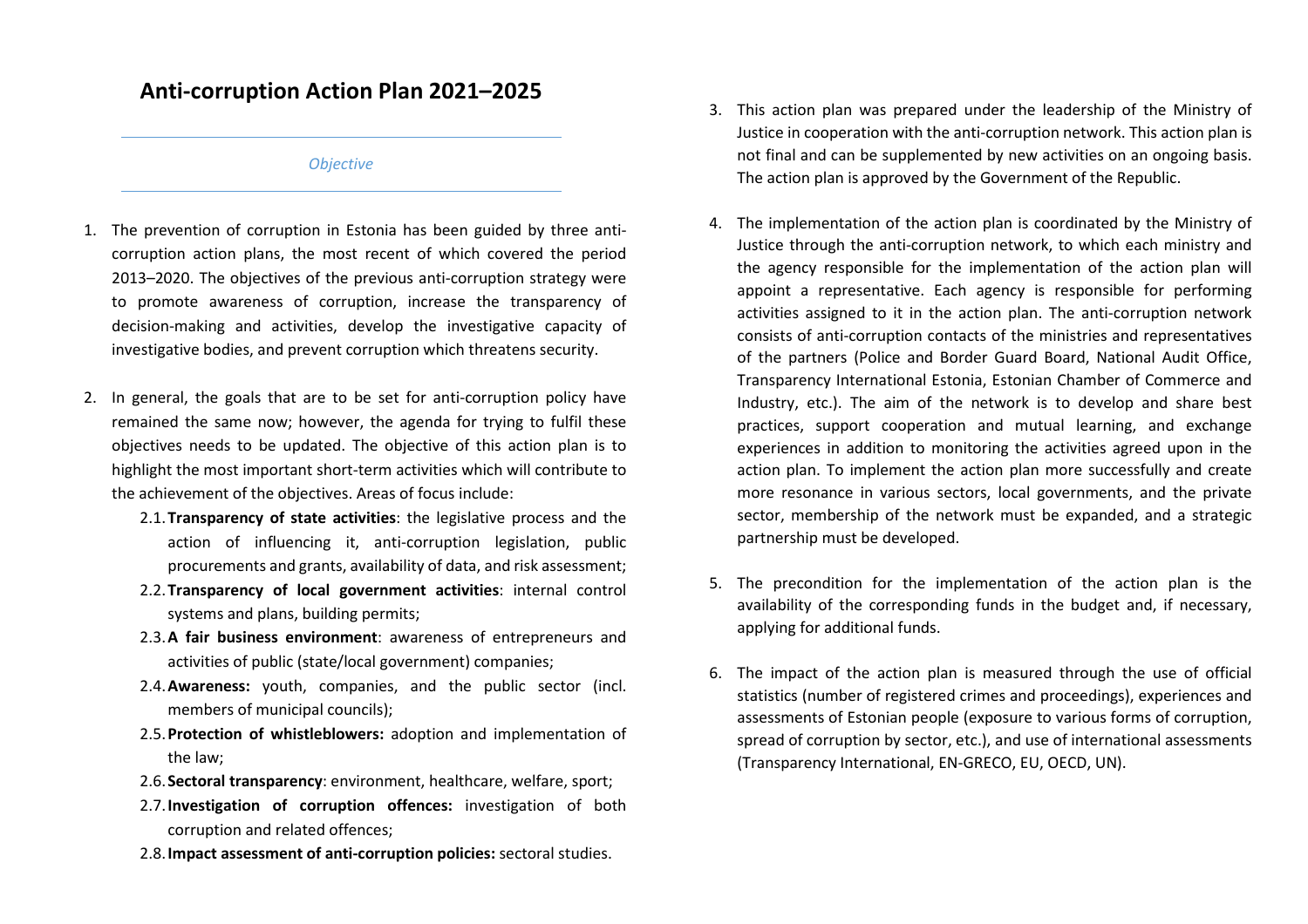# **Anti-corruption Action Plan 2021–2025**

### *Objective*

- 1. The prevention of corruption in Estonia has been guided by three anticorruption action plans, the most recent of which covered the period 2013–2020. The objectives of the previous anti-corruption strategy were to promote awareness of corruption, increase the transparency of decision-making and activities, develop the investigative capacity of investigative bodies, and prevent corruption which threatens security.
- 2. In general, the goals that are to be set for anti-corruption policy have remained the same now; however, the agenda for trying to fulfil these objectives needs to be updated. The objective of this action plan is to highlight the most important short-term activities which will contribute to the achievement of the objectives. Areas of focus include:
	- 2.1.**Transparency of state activities**: the legislative process and the action of influencing it, anti-corruption legislation, public procurements and grants, availability of data, and risk assessment;
	- 2.2.**Transparency of local government activities**: internal control systems and plans, building permits;
	- 2.3.**A fair business environment**: awareness of entrepreneurs and activities of public (state/local government) companies;
	- 2.4.**Awareness:** youth, companies, and the public sector (incl. members of municipal councils);
	- 2.5.**Protection of whistleblowers:** adoption and implementation of the law;
	- 2.6.**Sectoral transparency**: environment, healthcare, welfare, sport;
	- 2.7.**Investigation of corruption offences:** investigation of both corruption and related offences;
	- 2.8.**Impact assessment of anti-corruption policies:** sectoral studies.
- 3. This action plan was prepared under the leadership of the Ministry of Justice in cooperation with the anti-corruption network. This action plan is not final and can be supplemented by new activities on an ongoing basis. The action plan is approved by the Government of the Republic.
- 4. The implementation of the action plan is coordinated by the Ministry of Justice through the anti-corruption network, to which each ministry and the agency responsible for the implementation of the action plan will appoint a representative. Each agency is responsible for performing activities assigned to it in the action plan. The anti-corruption network consists of anti-corruption contacts of the ministries and representatives of the partners (Police and Border Guard Board, National Audit Office, Transparency International Estonia, Estonian Chamber of Commerce and Industry, etc.). The aim of the network is to develop and share best practices, support cooperation and mutual learning, and exchange experiences in addition to monitoring the activities agreed upon in the action plan. To implement the action plan more successfully and create more resonance in various sectors, local governments, and the private sector, membership of the network must be expanded, and a strategic partnership must be developed.
- 5. The precondition for the implementation of the action plan is the availability of the corresponding funds in the budget and, if necessary, applying for additional funds.
- 6. The impact of the action plan is measured through the use of official statistics (number of registered crimes and proceedings), experiences and assessments of Estonian people (exposure to various forms of corruption, spread of corruption by sector, etc.), and use of international assessments (Transparency International, EN-GRECO, EU, OECD, UN).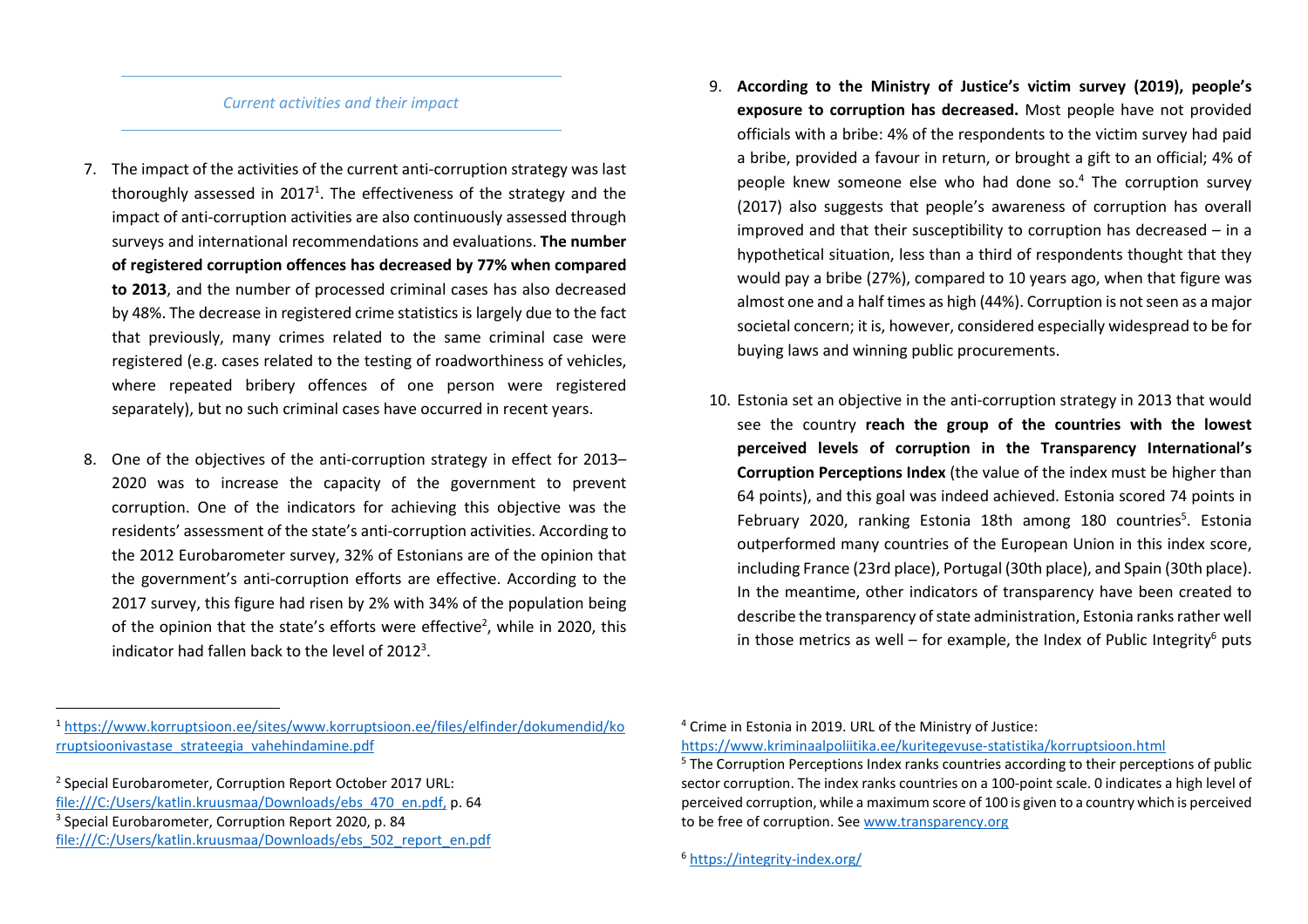#### *Current activities and their impact*

- 7. The impact of the activities of the current anti-corruption strategy was last thoroughly assessed in 2017<sup>1</sup>. The effectiveness of the strategy and the impact of anti-corruption activities are also continuously assessed through surveys and international recommendations and evaluations. **The number of registered corruption offences has decreased by 77% when compared to 2013**, and the number of processed criminal cases has also decreased by 48%. The decrease in registered crime statistics is largely due to the fact that previously, many crimes related to the same criminal case were registered (e.g. cases related to the testing of roadworthiness of vehicles, where repeated bribery offences of one person were registered separately), but no such criminal cases have occurred in recent years.
- 8. One of the objectives of the anti-corruption strategy in effect for 2013– 2020 was to increase the capacity of the government to prevent corruption. One of the indicators for achieving this objective was the residents' assessment of the state's anti-corruption activities. According to the 2012 Eurobarometer survey, 32% of Estonians are of the opinion that the government's anti-corruption efforts are effective. According to the 2017 survey, this figure had risen by 2% with 34% of the population being of the opinion that the state's efforts were effective<sup>2</sup>, while in 2020, this indicator had fallen back to the level of 2012<sup>3</sup>.
- 9. **According to the Ministry of Justice's victim survey (2019), people's exposure to corruption has decreased.** Most people have not provided officials with a bribe: 4% of the respondents to the victim survey had paid a bribe, provided a favour in return, or brought a gift to an official; 4% of people knew someone else who had done so.<sup>4</sup> The corruption survey (2017) also suggests that people's awareness of corruption has overall improved and that their susceptibility to corruption has decreased – in a hypothetical situation, less than a third of respondents thought that they would pay a bribe (27%), compared to 10 years ago, when that figure was almost one and a half times as high (44%). Corruption is not seen as a major societal concern; it is, however, considered especially widespread to be for buying laws and winning public procurements.
- 10. Estonia set an objective in the anti-corruption strategy in 2013 that would see the country **reach the group of the countries with the lowest perceived levels of corruption in the Transparency International's Corruption Perceptions Index** (the value of the index must be higher than 64 points), and this goal was indeed achieved. Estonia scored 74 points in February 2020, ranking Estonia 18th among 180 countries<sup>5</sup>. Estonia outperformed many countries of the European Union in this index score, including France (23rd place), Portugal (30th place), and Spain (30th place). In the meantime, other indicators of transparency have been created to describe the transparency of state administration, Estonia ranks rather well in those metrics as well – for example, the Index of Public Integrity<sup>6</sup> puts

<sup>1</sup> https://www.korruptsioon.ee/sites/www.korruptsioon.ee/files/elfinder/dokumendid/korruptsioonivastase\_strateegia\_vahehindamine.pdf

<sup>2</sup> Special Eurobarometer, Corruption Report October 2017 URL: file:///C:/Users/katlin.kruusmaa/Downloads/ebs\_470\_en.pdf, p. 64 <sup>3</sup> Special Eurobarometer, Corruption Report 2020, p. 84

file:///C:/Users/katlin.kruusmaa/Downloads/ebs\_502\_report\_en.pdf

<sup>4</sup> Crime in Estonia in 2019. URL of the Ministry of Justice: https://www.kriminaalpoliitika.ee/kuritegevuse-statistika/korruptsioon.html

 $5$  The Corruption Perceptions Index ranks countries according to their perceptions of public sector corruption. The index ranks countries on a 100-point scale. 0 indicates a high level of perceived corruption, while a maximum score of 100 is given to a country which is perceived to be free of corruption. See www.transparency.org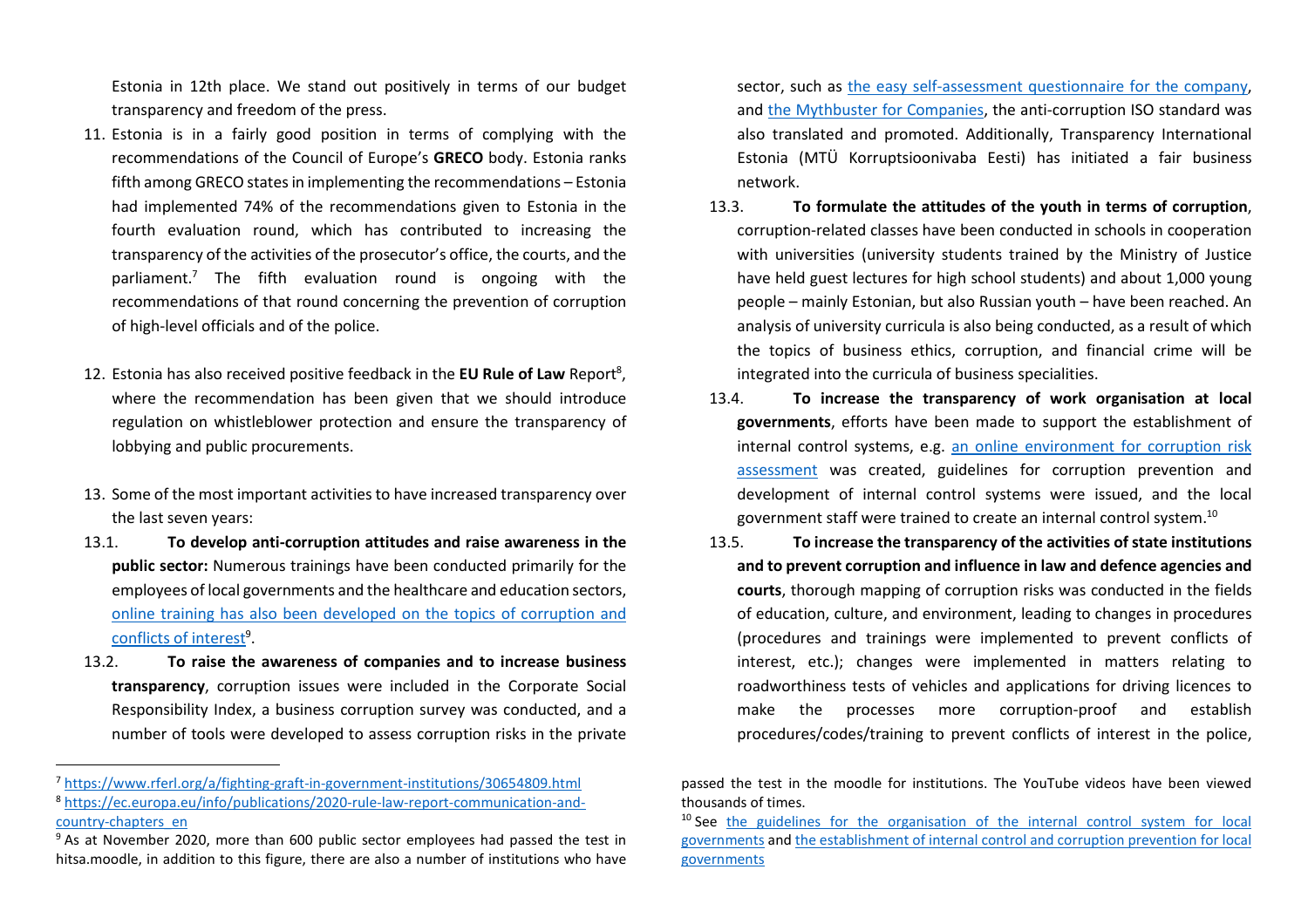Estonia in 12th place. We stand out positively in terms of our budget transparency and freedom of the press.

- 11. Estonia is in a fairly good position in terms of complying with the recommendations of the Council of Europe's **GRECO** body. Estonia ranks fifth among GRECO states in implementing the recommendations – Estonia had implemented 74% of the recommendations given to Estonia in the fourth evaluation round, which has contributed to increasing the transparency of the activities of the prosecutor's office, the courts, and the parliament.7 The fifth evaluation round is ongoing with the recommendations of that round concerning the prevention of corruption of high-level officials and of the police.
- 12. Estonia has also received positive feedback in the **EU Rule of Law** Report<sup>8</sup>, where the recommendation has been given that we should introduce regulation on whistleblower protection and ensure the transparency of lobbying and public procurements.
- 13. Some of the most important activities to have increased transparency over the last seven years:
- 13.1. **To develop anti-corruption attitudes and raise awareness in the public sector:** Numerous trainings have been conducted primarily for the employees of local governments and the healthcare and education sectors, online training has also been developed on the topics of corruption and conflicts of interest<sup>9</sup>.
- 13.2. **To raise the awareness of companies and to increase business transparency**, corruption issues were included in the Corporate Social Responsibility Index, a business corruption survey was conducted, and a number of tools were developed to assess corruption risks in the private

sector, such as the easy self-assessment questionnaire for the company, and the Mythbuster for Companies, the anti-corruption ISO standard was also translated and promoted. Additionally, Transparency International Estonia (MTÜ Korruptsioonivaba Eesti) has initiated a fair business network.

- 13.3. **To formulate the attitudes of the youth in terms of corruption**, corruption-related classes have been conducted in schools in cooperation with universities (university students trained by the Ministry of Justice have held guest lectures for high school students) and about 1,000 young people – mainly Estonian, but also Russian youth – have been reached. An analysis of university curricula is also being conducted, as a result of which the topics of business ethics, corruption, and financial crime will be integrated into the curricula of business specialities.
- 13.4. **To increase the transparency of work organisation at local governments**, efforts have been made to support the establishment of internal control systems, e.g. an online environment for corruption risk assessment was created, guidelines for corruption prevention and development of internal control systems were issued, and the local government staff were trained to create an internal control system.<sup>10</sup>
- 13.5. **To increase the transparency of the activities of state institutions and to prevent corruption and influence in law and defence agencies and courts**, thorough mapping of corruption risks was conducted in the fields of education, culture, and environment, leading to changes in procedures (procedures and trainings were implemented to prevent conflicts of interest, etc.); changes were implemented in matters relating to roadworthiness tests of vehicles and applications for driving licences to make the processes more corruption-proof and establish procedures/codes/training to prevent conflicts of interest in the police,

<sup>&</sup>lt;sup>7</sup> https://www.rferl.org/a/fighting-graft-in-government-institutions/30654809.html

<sup>&</sup>lt;sup>8</sup> https://ec.europa.eu/info/publications/2020-rule-law-report-communication-andcountry-chapters\_en

<sup>&</sup>lt;sup>9</sup> As at November 2020, more than 600 public sector employees had passed the test in hitsa.moodle, in addition to this figure, there are also a number of institutions who have

passed the test in the moodle for institutions. The YouTube videos have been viewed thousands of times.

<sup>&</sup>lt;sup>10</sup> See the guidelines for the organisation of the internal control system for local governments and the establishment of internal control and corruption prevention for local governments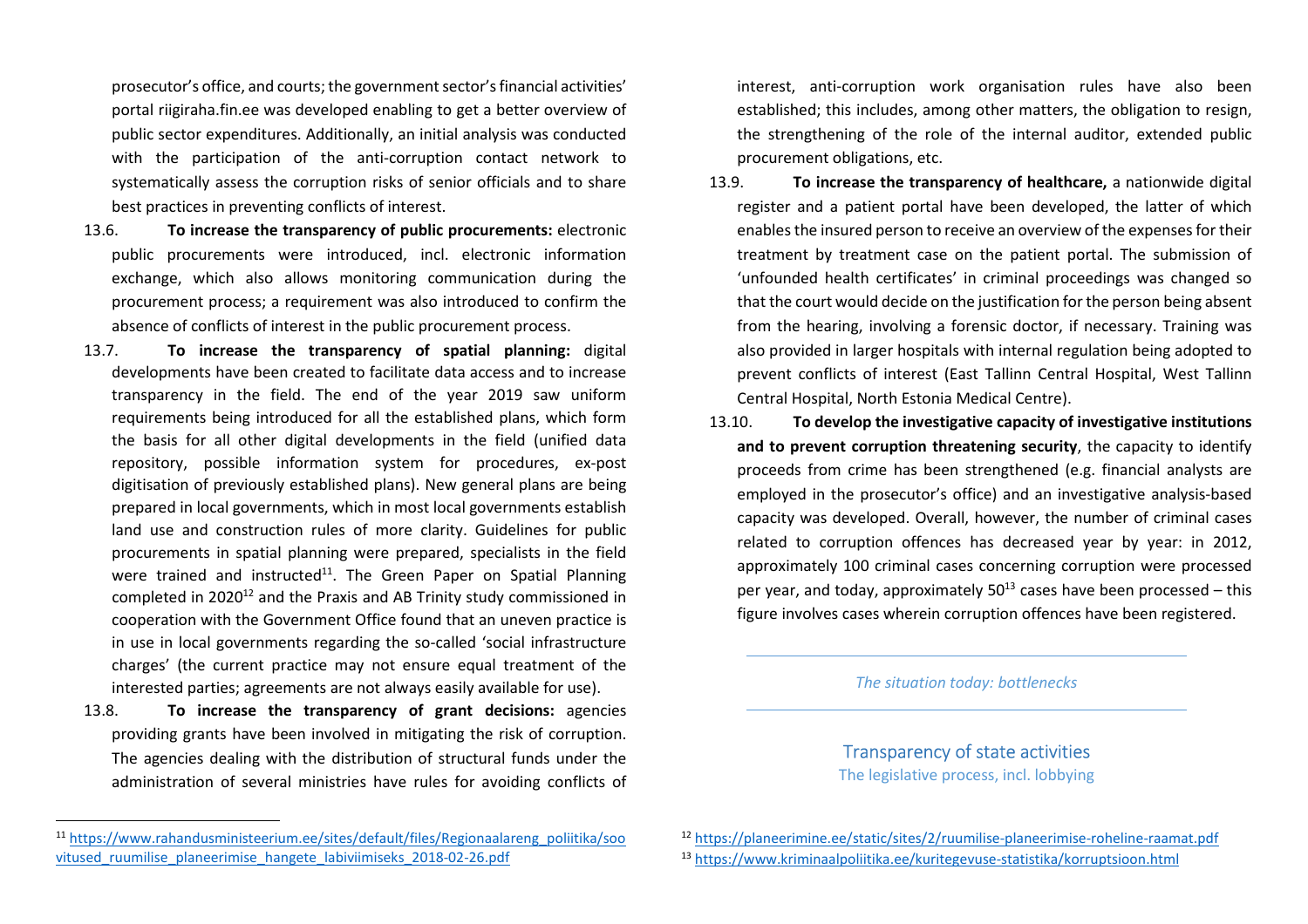prosecutor's office, and courts; the government sector's financial activities' portal riigiraha.fin.ee was developed enabling to get a better overview of public sector expenditures. Additionally, an initial analysis was conducted with the participation of the anti-corruption contact network to systematically assess the corruption risks of senior officials and to share best practices in preventing conflicts of interest.

- 13.6. **To increase the transparency of public procurements:** electronic public procurements were introduced, incl. electronic information exchange, which also allows monitoring communication during the procurement process; a requirement was also introduced to confirm the absence of conflicts of interest in the public procurement process.
- 13.7. **To increase the transparency of spatial planning:** digital developments have been created to facilitate data access and to increase transparency in the field. The end of the year 2019 saw uniform requirements being introduced for all the established plans, which form the basis for all other digital developments in the field (unified data repository, possible information system for procedures, ex-post digitisation of previously established plans). New general plans are being prepared in local governments, which in most local governments establish land use and construction rules of more clarity. Guidelines for public procurements in spatial planning were prepared, specialists in the field were trained and instructed<sup>11</sup>. The Green Paper on Spatial Planning completed in 2020<sup>12</sup> and the Praxis and AB Trinity study commissioned in cooperation with the Government Office found that an uneven practice is in use in local governments regarding the so-called 'social infrastructure charges' (the current practice may not ensure equal treatment of the interested parties; agreements are not always easily available for use).
- 13.8. **To increase the transparency of grant decisions:** agencies providing grants have been involved in mitigating the risk of corruption. The agencies dealing with the distribution of structural funds under the administration of several ministries have rules for avoiding conflicts of

interest, anti-corruption work organisation rules have also been established; this includes, among other matters, the obligation to resign, the strengthening of the role of the internal auditor, extended public procurement obligations, etc.

- 13.9. **To increase the transparency of healthcare,** a nationwide digital register and a patient portal have been developed, the latter of which enables the insured person to receive an overview of the expenses for their treatment by treatment case on the patient portal. The submission of 'unfounded health certificates' in criminal proceedings was changed so that the court would decide on the justification for the person being absent from the hearing, involving a forensic doctor, if necessary. Training was also provided in larger hospitals with internal regulation being adopted to prevent conflicts of interest (East Tallinn Central Hospital, West Tallinn Central Hospital, North Estonia Medical Centre).
- 13.10. **To develop the investigative capacity of investigative institutions and to prevent corruption threatening security**, the capacity to identify proceeds from crime has been strengthened (e.g. financial analysts are employed in the prosecutor's office) and an investigative analysis-based capacity was developed. Overall, however, the number of criminal cases related to corruption offences has decreased year by year: in 2012, approximately 100 criminal cases concerning corruption were processed per year, and today, approximately  $50^{13}$  cases have been processed – this figure involves cases wherein corruption offences have been registered.

*The situation today: bottlenecks* 

Transparency of state activities The legislative process, incl. lobbying

<sup>&</sup>lt;sup>11</sup> https://www.rahandusministeerium.ee/sites/default/files/Regionaalareng\_poliitika/soo vitused ruumilise planeerimise hangete labiviimiseks 2018-02-26.pdf

<sup>&</sup>lt;sup>12</sup> https://planeerimine.ee/static/sites/2/ruumilise-planeerimise-roheline-raamat.pdf <sup>13</sup> https://www.kriminaalpoliitika.ee/kuritegevuse-statistika/korruptsioon.html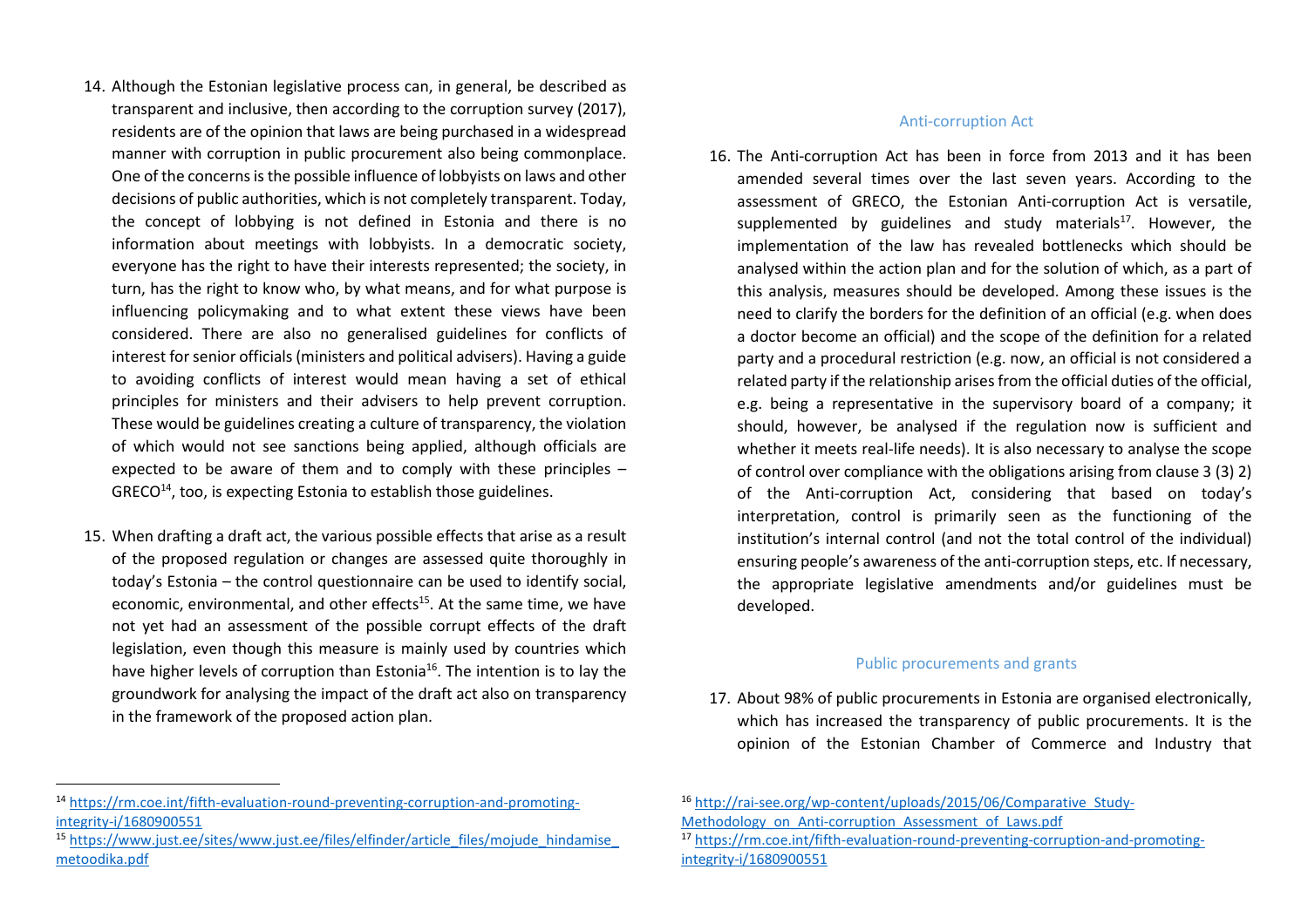- 14. Although the Estonian legislative process can, in general, be described as transparent and inclusive, then according to the corruption survey (2017), residents are of the opinion that laws are being purchased in a widespread manner with corruption in public procurement also being commonplace. One of the concerns is the possible influence of lobbyists on laws and other decisions of public authorities, which is not completely transparent. Today, the concept of lobbying is not defined in Estonia and there is no information about meetings with lobbyists. In a democratic society, everyone has the right to have their interests represented; the society, in turn, has the right to know who, by what means, and for what purpose is influencing policymaking and to what extent these views have been considered. There are also no generalised guidelines for conflicts of interest for senior officials (ministers and political advisers). Having a guide to avoiding conflicts of interest would mean having a set of ethical principles for ministers and their advisers to help prevent corruption. These would be guidelines creating a culture of transparency, the violation of which would not see sanctions being applied, although officials are expected to be aware of them and to comply with these principles –  $GREG<sup>14</sup>$ , too, is expecting Estonia to establish those guidelines.
- 15. When drafting a draft act, the various possible effects that arise as a result of the proposed regulation or changes are assessed quite thoroughly in today's Estonia – the control questionnaire can be used to identify social, economic, environmental, and other effects<sup>15</sup>. At the same time, we have not yet had an assessment of the possible corrupt effects of the draft legislation, even though this measure is mainly used by countries which have higher levels of corruption than Estonia<sup>16</sup>. The intention is to lay the groundwork for analysing the impact of the draft act also on transparency in the framework of the proposed action plan.

<sup>15</sup> https://www.just.ee/sites/www.just.ee/files/elfinder/article\_files/mojude\_hindamise\_ metoodika.pdf

#### Anti-corruption Act

16. The Anti-corruption Act has been in force from 2013 and it has been amended several times over the last seven years. According to the assessment of GRECO, the Estonian Anti-corruption Act is versatile, supplemented by guidelines and study materials $17$ . However, the implementation of the law has revealed bottlenecks which should be analysed within the action plan and for the solution of which, as a part of this analysis, measures should be developed. Among these issues is the need to clarify the borders for the definition of an official (e.g. when does a doctor become an official) and the scope of the definition for a related party and a procedural restriction (e.g. now, an official is not considered a related party if the relationship arises from the official duties of the official, e.g. being a representative in the supervisory board of a company; it should, however, be analysed if the regulation now is sufficient and whether it meets real-life needs). It is also necessary to analyse the scope of control over compliance with the obligations arising from clause 3 (3) 2) of the Anti-corruption Act, considering that based on today's interpretation, control is primarily seen as the functioning of the institution's internal control (and not the total control of the individual) ensuring people's awareness of the anti-corruption steps, etc. If necessary, the appropriate legislative amendments and/or guidelines must be developed.

#### Public procurements and grants

17. About 98% of public procurements in Estonia are organised electronically, which has increased the transparency of public procurements. It is the opinion of the Estonian Chamber of Commerce and Industry that

<sup>&</sup>lt;sup>14</sup> https://rm.coe.int/fifth-evaluation-round-preventing-corruption-and-promotingintegrity-i/1680900551

<sup>&</sup>lt;sup>16</sup> http://rai-see.org/wp-content/uploads/2015/06/Comparative Study-Methodology\_on\_Anti-corruption\_Assessment\_of\_Laws.pdf

<sup>&</sup>lt;sup>17</sup> https://rm.coe.int/fifth-evaluation-round-preventing-corruption-and-promotingintegrity-i/1680900551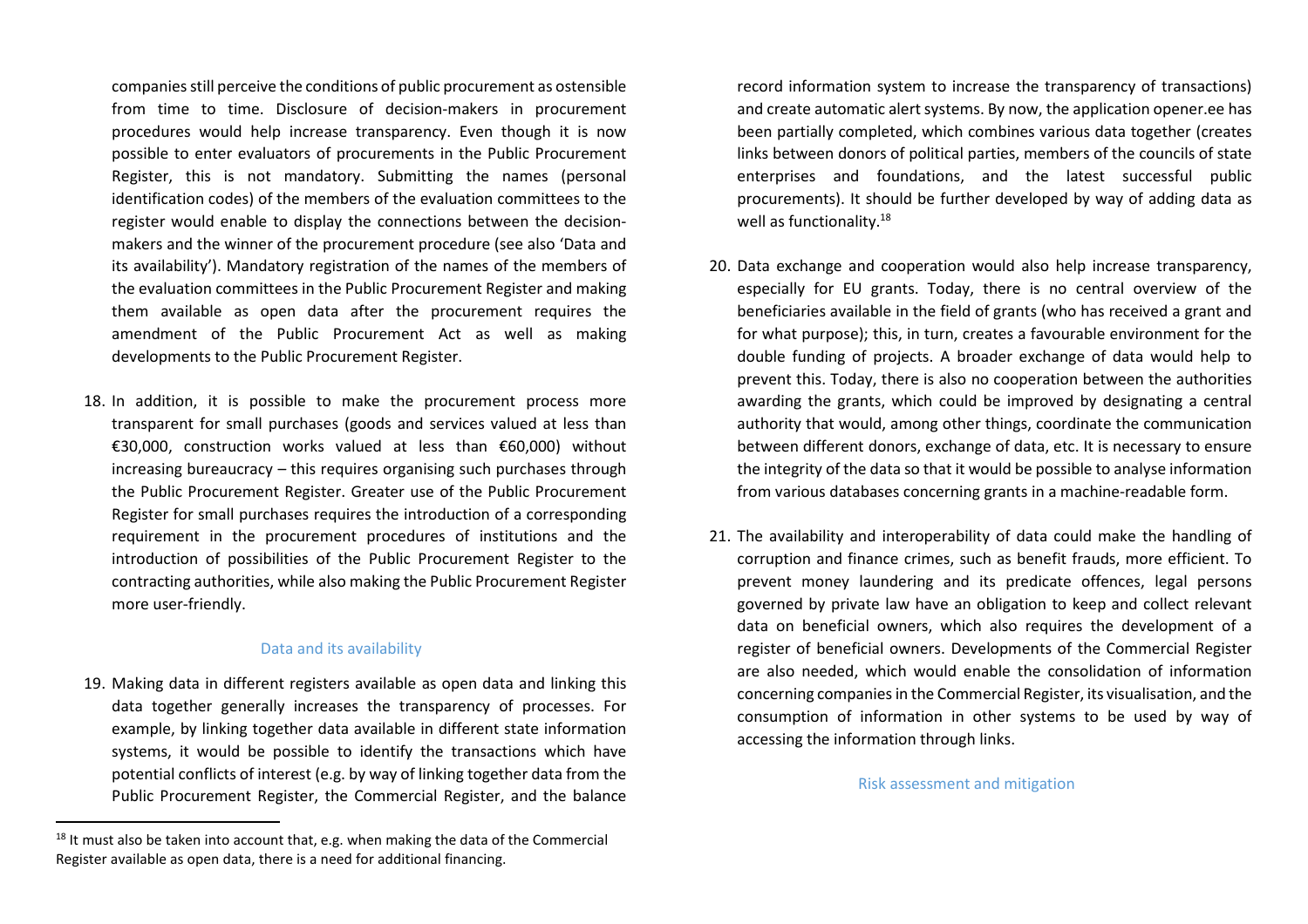companies still perceive the conditions of public procurement as ostensible from time to time. Disclosure of decision-makers in procurement procedures would help increase transparency. Even though it is now possible to enter evaluators of procurements in the Public Procurement Register, this is not mandatory. Submitting the names (personal identification codes) of the members of the evaluation committees to the register would enable to display the connections between the decisionmakers and the winner of the procurement procedure (see also 'Data and its availability'). Mandatory registration of the names of the members of the evaluation committees in the Public Procurement Register and making them available as open data after the procurement requires the amendment of the Public Procurement Act as well as making developments to the Public Procurement Register.

18. In addition, it is possible to make the procurement process more transparent for small purchases (goods and services valued at less than €30,000, construction works valued at less than €60,000) without increasing bureaucracy – this requires organising such purchases through the Public Procurement Register. Greater use of the Public Procurement Register for small purchases requires the introduction of a corresponding requirement in the procurement procedures of institutions and the introduction of possibilities of the Public Procurement Register to the contracting authorities, while also making the Public Procurement Register more user-friendly.

#### Data and its availability

19. Making data in different registers available as open data and linking this data together generally increases the transparency of processes. For example, by linking together data available in different state information systems, it would be possible to identify the transactions which have potential conflicts of interest (e.g. by way of linking together data from the Public Procurement Register, the Commercial Register, and the balance

record information system to increase the transparency of transactions) and create automatic alert systems. By now, the application opener.ee has been partially completed, which combines various data together (creates links between donors of political parties, members of the councils of state enterprises and foundations, and the latest successful public procurements). It should be further developed by way of adding data as well as functionality.<sup>18</sup>

- 20. Data exchange and cooperation would also help increase transparency, especially for EU grants. Today, there is no central overview of the beneficiaries available in the field of grants (who has received a grant and for what purpose); this, in turn, creates a favourable environment for the double funding of projects. A broader exchange of data would help to prevent this. Today, there is also no cooperation between the authorities awarding the grants, which could be improved by designating a central authority that would, among other things, coordinate the communication between different donors, exchange of data, etc. It is necessary to ensure the integrity of the data so that it would be possible to analyse information from various databases concerning grants in a machine-readable form.
- 21. The availability and interoperability of data could make the handling of corruption and finance crimes, such as benefit frauds, more efficient. To prevent money laundering and its predicate offences, legal persons governed by private law have an obligation to keep and collect relevant data on beneficial owners, which also requires the development of a register of beneficial owners. Developments of the Commercial Register are also needed, which would enable the consolidation of information concerning companies in the Commercial Register, its visualisation, and the consumption of information in other systems to be used by way of accessing the information through links.

Risk assessment and mitigation

 $18$  It must also be taken into account that, e.g. when making the data of the Commercial Register available as open data, there is a need for additional financing.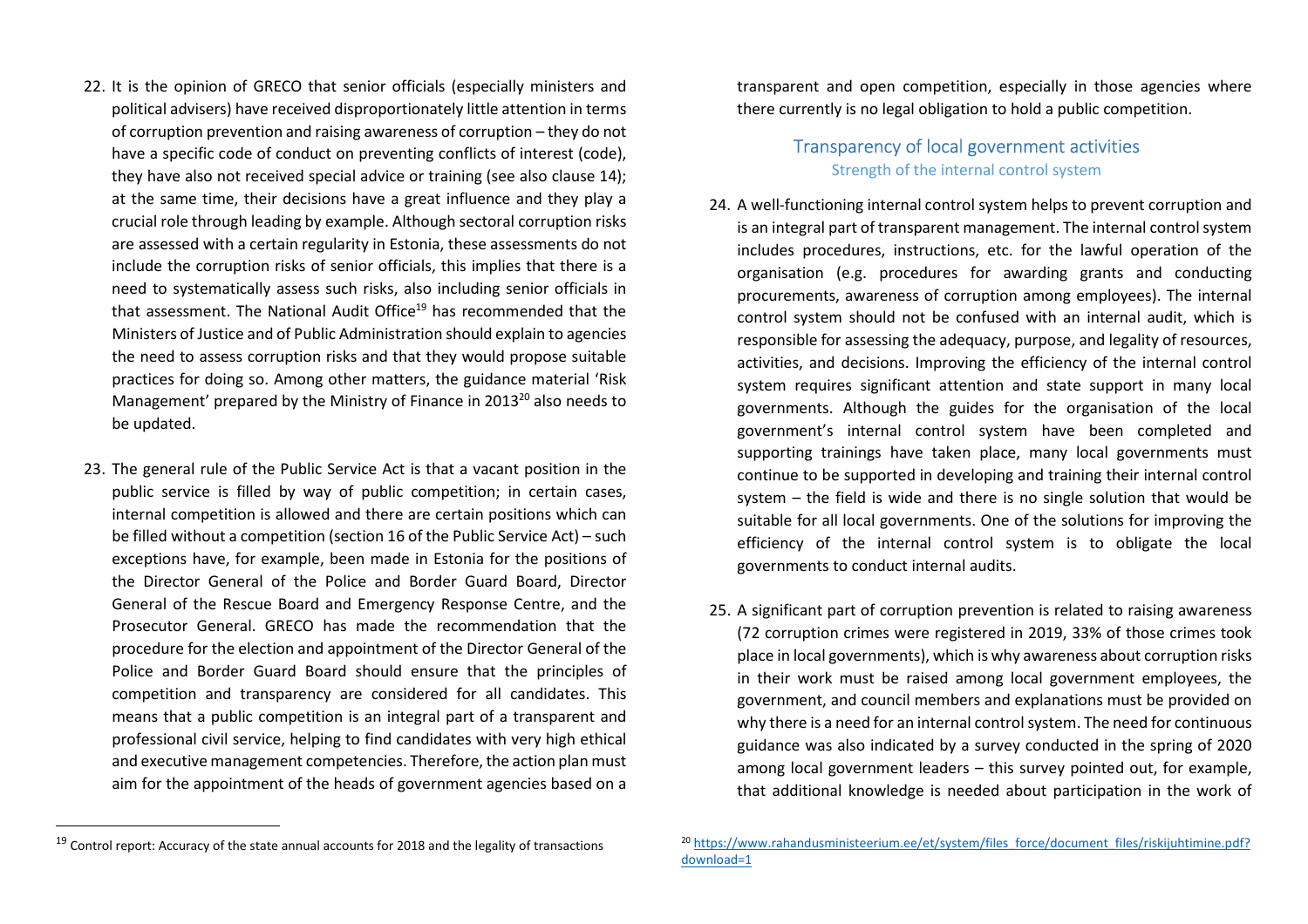- 22. It is the opinion of GRECO that senior officials (especially ministers and political advisers) have received disproportionately little attention in terms of corruption prevention and raising awareness of corruption – they do not have a specific code of conduct on preventing conflicts of interest (code), they have also not received special advice or training (see also clause 14); at the same time, their decisions have a great influence and they play a crucial role through leading by example. Although sectoral corruption risks are assessed with a certain regularity in Estonia, these assessments do not include the corruption risks of senior officials, this implies that there is a need to systematically assess such risks, also including senior officials in that assessment. The National Audit Office<sup>19</sup> has recommended that the Ministers of Justice and of Public Administration should explain to agencies the need to assess corruption risks and that they would propose suitable practices for doing so. Among other matters, the guidance material 'Risk Management' prepared by the Ministry of Finance in 2013<sup>20</sup> also needs to be updated.
- 23. The general rule of the Public Service Act is that a vacant position in the public service is filled by way of public competition; in certain cases, internal competition is allowed and there are certain positions which can be filled without a competition (section 16 of the Public Service Act) – such exceptions have, for example, been made in Estonia for the positions of the Director General of the Police and Border Guard Board, Director General of the Rescue Board and Emergency Response Centre, and the Prosecutor General. GRECO has made the recommendation that the procedure for the election and appointment of the Director General of the Police and Border Guard Board should ensure that the principles of competition and transparency are considered for all candidates. This means that a public competition is an integral part of a transparent and professional civil service, helping to find candidates with very high ethical and executive management competencies. Therefore, the action plan must aim for the appointment of the heads of government agencies based on a

transparent and open competition, especially in those agencies where there currently is no legal obligation to hold a public competition.

## Transparency of local government activities Strength of the internal control system

- 24. A well-functioning internal control system helps to prevent corruption and is an integral part of transparent management. The internal control system includes procedures, instructions, etc. for the lawful operation of the organisation (e.g. procedures for awarding grants and conducting procurements, awareness of corruption among employees). The internal control system should not be confused with an internal audit, which is responsible for assessing the adequacy, purpose, and legality of resources, activities, and decisions. Improving the efficiency of the internal control system requires significant attention and state support in many local governments. Although the guides for the organisation of the local government's internal control system have been completed and supporting trainings have taken place, many local governments must continue to be supported in developing and training their internal control system – the field is wide and there is no single solution that would be suitable for all local governments. One of the solutions for improving the efficiency of the internal control system is to obligate the local governments to conduct internal audits.
- 25. A significant part of corruption prevention is related to raising awareness (72 corruption crimes were registered in 2019, 33% of those crimes took place in local governments), which is why awareness about corruption risks in their work must be raised among local government employees, the government, and council members and explanations must be provided on why there is a need for an internal control system. The need for continuous guidance was also indicated by a survey conducted in the spring of 2020 among local government leaders – this survey pointed out, for example, that additional knowledge is needed about participation in the work of

 $^{19}$  Control report: Accuracy of the state annual accounts for 2018 and the legality of transactions

<sup>&</sup>lt;sup>20</sup> https://www.rahandusministeerium.ee/et/system/files\_force/document\_files/riskijuhtimine.pdf? download=1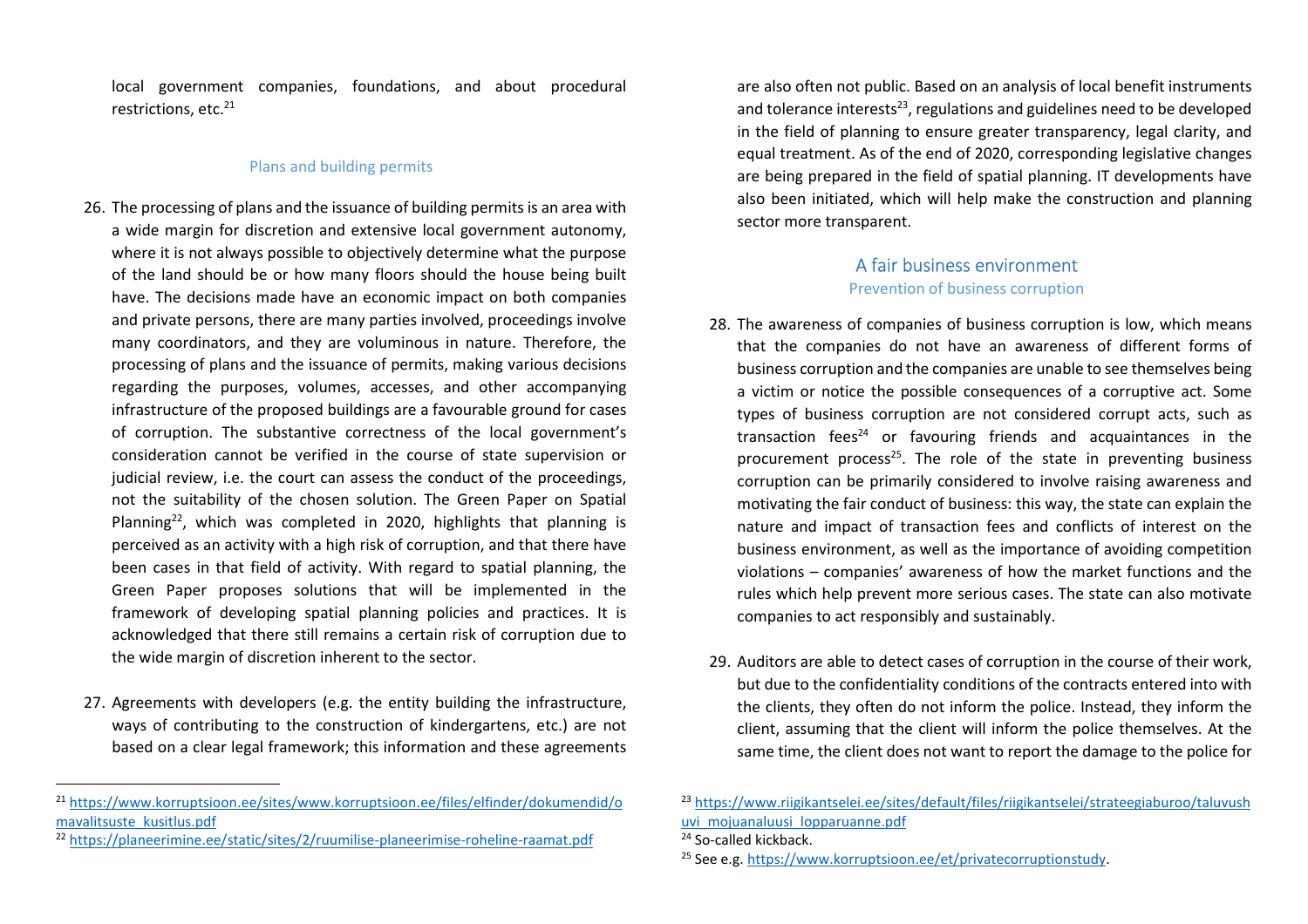local government companies, foundations, and about procedural restrictions, etc.<sup>21</sup>

### Plans and building permits

- 26. The processing of plans and the issuance of building permits is an area with a wide margin for discretion and extensive local government autonomy, where it is not always possible to objectively determine what the purpose of the land should be or how many floors should the house being built have. The decisions made have an economic impact on both companies and private persons, there are many parties involved, proceedings involve many coordinators, and they are voluminous in nature. Therefore, the processing of plans and the issuance of permits, making various decisions regarding the purposes, volumes, accesses, and other accompanying infrastructure of the proposed buildings are a favourable ground for cases of corruption. The substantive correctness of the local government's consideration cannot be verified in the course of state supervision or judicial review, i.e. the court can assess the conduct of the proceedings, not the suitability of the chosen solution. The Green Paper on Spatial Planning<sup>22</sup>, which was completed in 2020, highlights that planning is perceived as an activity with a high risk of corruption, and that there have been cases in that field of activity. With regard to spatial planning, the Green Paper proposes solutions that will be implemented in the framework of developing spatial planning policies and practices. It is acknowledged that there still remains a certain risk of corruption due to the wide margin of discretion inherent to the sector.
- 27. Agreements with developers (e.g. the entity building the infrastructure, ways of contributing to the construction of kindergartens, etc.) are not based on a clear legal framework; this information and these agreements

are also often not public. Based on an analysis of local benefit instruments and tolerance interests $^{23}$ , regulations and guidelines need to be developed in the field of planning to ensure greater transparency, legal clarity, and equal treatment. As of the end of 2020, corresponding legislative changes are being prepared in the field of spatial planning. IT developments have also been initiated, which will help make the construction and planning sector more transparent.

# A fair business environment

### Prevention of business corruption

- 28. The awareness of companies of business corruption is low, which means that the companies do not have an awareness of different forms of business corruption and the companies are unable to see themselves being a victim or notice the possible consequences of a corruptive act. Some types of business corruption are not considered corrupt acts, such as transaction fees<sup>24</sup> or favouring friends and acquaintances in the procurement process<sup>25</sup>. The role of the state in preventing business corruption can be primarily considered to involve raising awareness and motivating the fair conduct of business: this way, the state can explain the nature and impact of transaction fees and conflicts of interest on the business environment, as well as the importance of avoiding competition violations – companies' awareness of how the market functions and the rules which help prevent more serious cases. The state can also motivate companies to act responsibly and sustainably.
- 29. Auditors are able to detect cases of corruption in the course of their work, but due to the confidentiality conditions of the contracts entered into with the clients, they often do not inform the police. Instead, they inform the client, assuming that the client will inform the police themselves. At the same time, the client does not want to report the damage to the police for

<sup>21</sup> https://www.korruptsioon.ee/sites/www.korruptsioon.ee/files/elfinder/dokumendid/omavalitsuste\_kusitlus.pdf

<sup>&</sup>lt;sup>22</sup> https://planeerimine.ee/static/sites/2/ruumilise-planeerimise-roheline-raamat.pdf

<sup>&</sup>lt;sup>23</sup> https://www.riigikantselei.ee/sites/default/files/riigikantselei/strateegiaburoo/taluvush uvi mojuanaluusi lopparuanne.pdf

<sup>&</sup>lt;sup>24</sup> So-called kickback.

<sup>&</sup>lt;sup>25</sup> See e.g. https://www.korruptsioon.ee/et/privatecorruptionstudy.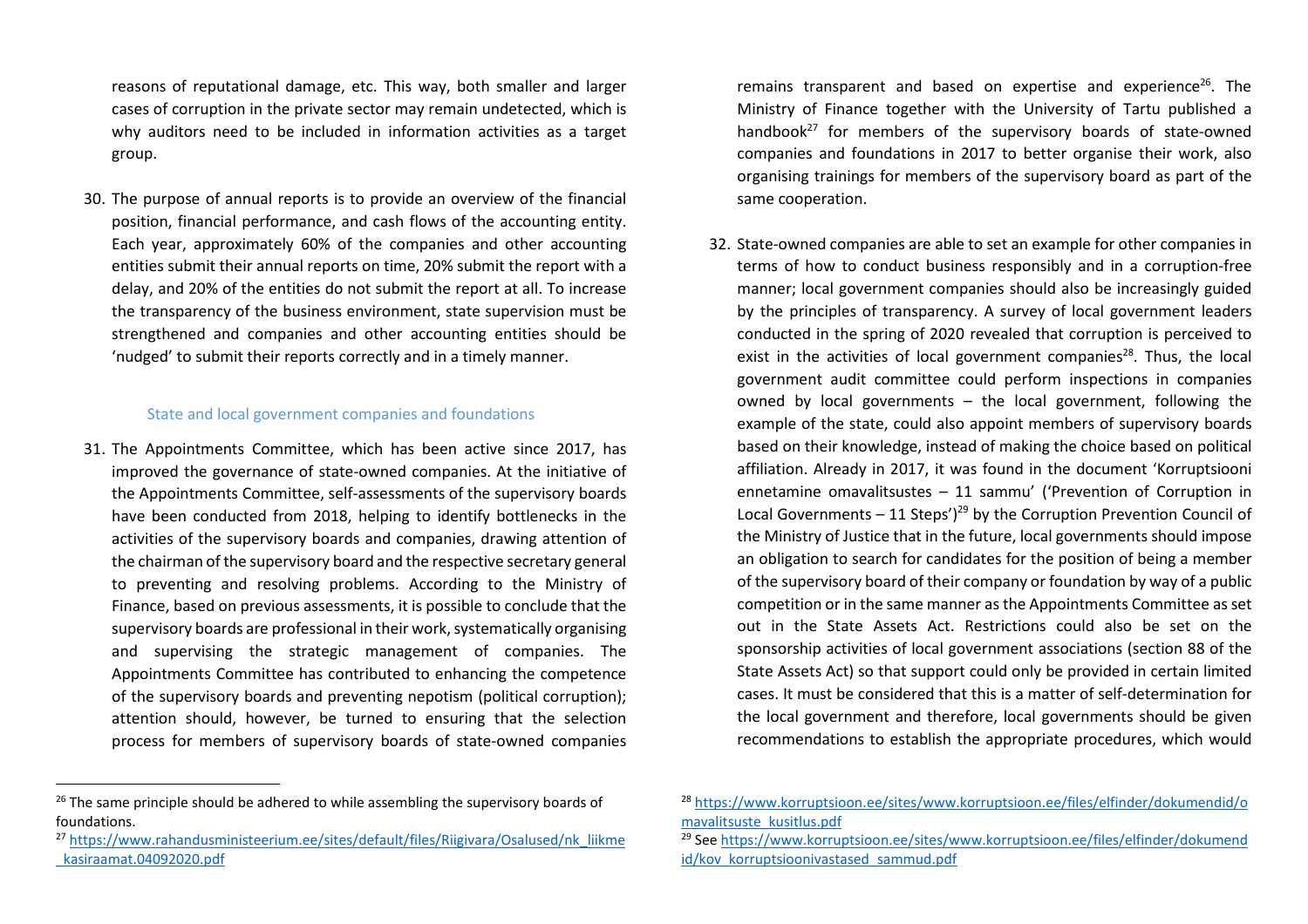reasons of reputational damage, etc. This way, both smaller and larger cases of corruption in the private sector may remain undetected, which is why auditors need to be included in information activities as a target group.

30. The purpose of annual reports is to provide an overview of the financial position, financial performance, and cash flows of the accounting entity. Each year, approximately 60% of the companies and other accounting entities submit their annual reports on time, 20% submit the report with a delay, and 20% of the entities do not submit the report at all. To increase the transparency of the business environment, state supervision must be strengthened and companies and other accounting entities should be 'nudged' to submit their reports correctly and in a timely manner.

### State and local government companies and foundations

31. The Appointments Committee, which has been active since 2017, has improved the governance of state-owned companies. At the initiative of the Appointments Committee, self-assessments of the supervisory boards have been conducted from 2018, helping to identify bottlenecks in the activities of the supervisory boards and companies, drawing attention of the chairman of the supervisory board and the respective secretary general to preventing and resolving problems. According to the Ministry of Finance, based on previous assessments, it is possible to conclude that the supervisory boards are professional in their work, systematically organising and supervising the strategic management of companies. The Appointments Committee has contributed to enhancing the competence of the supervisory boards and preventing nepotism (political corruption); attention should, however, be turned to ensuring that the selection process for members of supervisory boards of state-owned companies

remains transparent and based on expertise and experience<sup>26</sup>. The Ministry of Finance together with the University of Tartu published a handbook<sup>27</sup> for members of the supervisory boards of state-owned companies and foundations in 2017 to better organise their work, also organising trainings for members of the supervisory board as part of the same cooperation.

- 32. State-owned companies are able to set an example for other companies in terms of how to conduct business responsibly and in a corruption-free manner; local government companies should also be increasingly guided by the principles of transparency. A survey of local government leaders conducted in the spring of 2020 revealed that corruption is perceived to exist in the activities of local government companies<sup>28</sup>. Thus, the local government audit committee could perform inspections in companies owned by local governments – the local government, following the example of the state, could also appoint members of supervisory boards based on their knowledge, instead of making the choice based on political affiliation. Already in 2017, it was found in the document 'Korruptsiooni ennetamine omavalitsustes – 11 sammu' ('Prevention of Corruption in Local Governments – 11 Steps')<sup>29</sup> by the Corruption Prevention Council of the Ministry of Justice that in the future, local governments should impose an obligation to search for candidates for the position of being a member of the supervisory board of their company or foundation by way of a public competition or in the same manner as the Appointments Committee as set out in the State Assets Act. Restrictions could also be set on the sponsorship activities of local government associations (section 88 of the State Assets Act) so that support could only be provided in certain limited cases. It must be considered that this is a matter of self-determination for the local government and therefore, local governments should be given recommendations to establish the appropriate procedures, which would
- 28 https://www.korruptsioon.ee/sites/www.korruptsioon.ee/files/elfinder/dokumendid/omavalitsuste\_kusitlus.pdf

 $26$  The same principle should be adhered to while assembling the supervisory boards of foundations.

<sup>&</sup>lt;sup>27</sup> https://www.rahandusministeerium.ee/sites/default/files/Riigivara/Osalused/nk liikme \_kasiraamat.04092020.pdf

<sup>&</sup>lt;sup>29</sup> See https://www.korruptsioon.ee/sites/www.korruptsioon.ee/files/elfinder/dokumend id/kov\_korruptsioonivastased\_sammud.pdf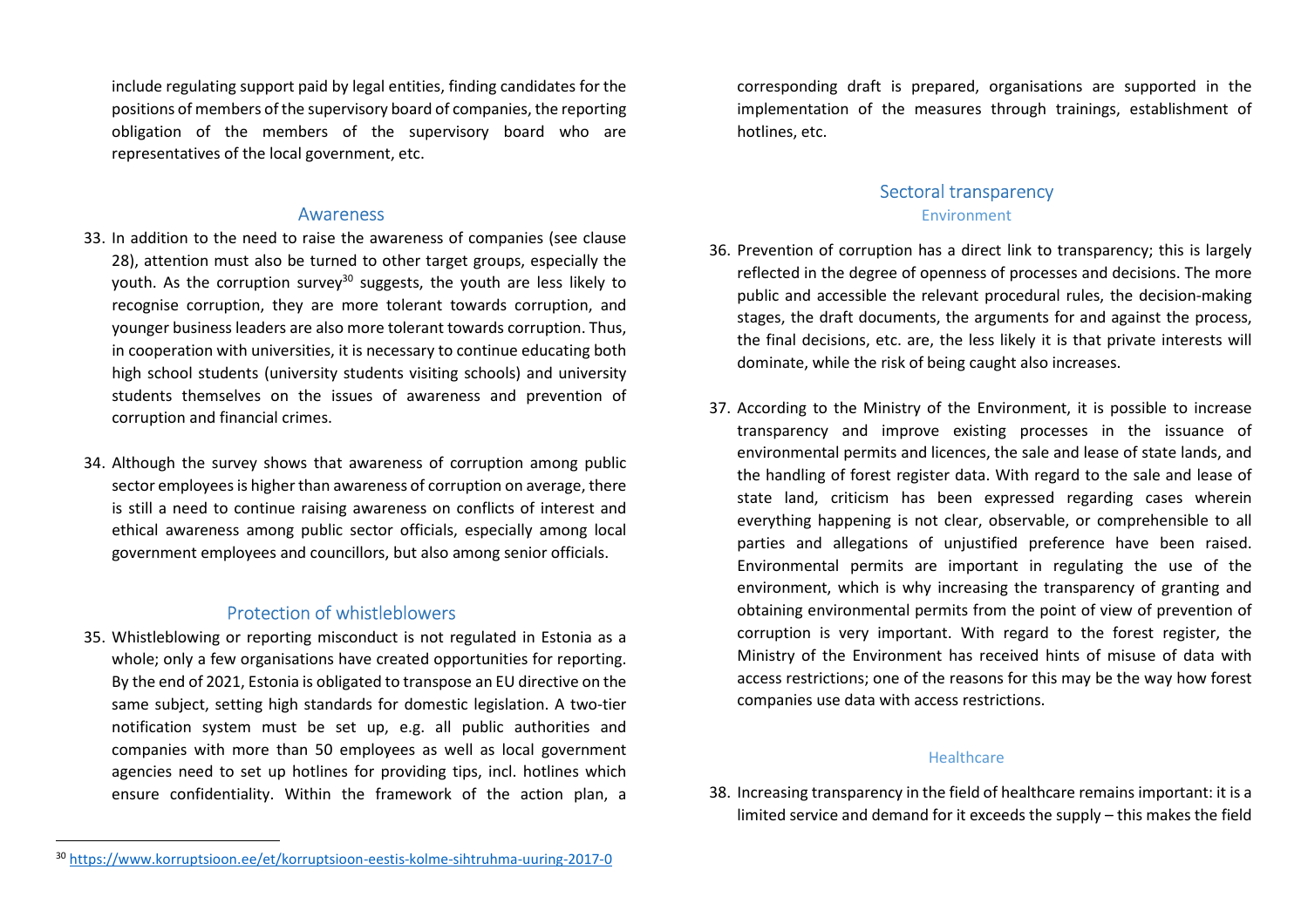include regulating support paid by legal entities, finding candidates for the positions of members of the supervisory board of companies, the reporting obligation of the members of the supervisory board who are representatives of the local government, etc.

### Awareness

- 33. In addition to the need to raise the awareness of companies (see clause 28), attention must also be turned to other target groups, especially the youth. As the corruption survey<sup>30</sup> suggests, the youth are less likely to recognise corruption, they are more tolerant towards corruption, and younger business leaders are also more tolerant towards corruption. Thus, in cooperation with universities, it is necessary to continue educating both high school students (university students visiting schools) and university students themselves on the issues of awareness and prevention of corruption and financial crimes.
- 34. Although the survey shows that awareness of corruption among public sector employees is higher than awareness of corruption on average, there is still a need to continue raising awareness on conflicts of interest and ethical awareness among public sector officials, especially among local government employees and councillors, but also among senior officials.

## Protection of whistleblowers

35. Whistleblowing or reporting misconduct is not regulated in Estonia as a whole; only a few organisations have created opportunities for reporting. By the end of 2021, Estonia is obligated to transpose an EU directive on the same subject, setting high standards for domestic legislation. A two-tier notification system must be set up, e.g. all public authorities and companies with more than 50 employees as well as local government agencies need to set up hotlines for providing tips, incl. hotlines which ensure confidentiality. Within the framework of the action plan, a

corresponding draft is prepared, organisations are supported in the implementation of the measures through trainings, establishment of hotlines, etc.

# Sectoral transparency

#### Environment

- 36. Prevention of corruption has a direct link to transparency; this is largely reflected in the degree of openness of processes and decisions. The more public and accessible the relevant procedural rules, the decision-making stages, the draft documents, the arguments for and against the process, the final decisions, etc. are, the less likely it is that private interests will dominate, while the risk of being caught also increases.
- 37. According to the Ministry of the Environment, it is possible to increase transparency and improve existing processes in the issuance of environmental permits and licences, the sale and lease of state lands, and the handling of forest register data. With regard to the sale and lease of state land, criticism has been expressed regarding cases wherein everything happening is not clear, observable, or comprehensible to all parties and allegations of unjustified preference have been raised. Environmental permits are important in regulating the use of the environment, which is why increasing the transparency of granting and obtaining environmental permits from the point of view of prevention of corruption is very important. With regard to the forest register, the Ministry of the Environment has received hints of misuse of data with access restrictions; one of the reasons for this may be the way how forest companies use data with access restrictions.

#### **Healthcare**

38. Increasing transparency in the field of healthcare remains important: it is a limited service and demand for it exceeds the supply – this makes the field

<sup>30</sup> https://www.korruptsioon.ee/et/korruptsioon-eestis-kolme-sihtruhma-uuring-2017-0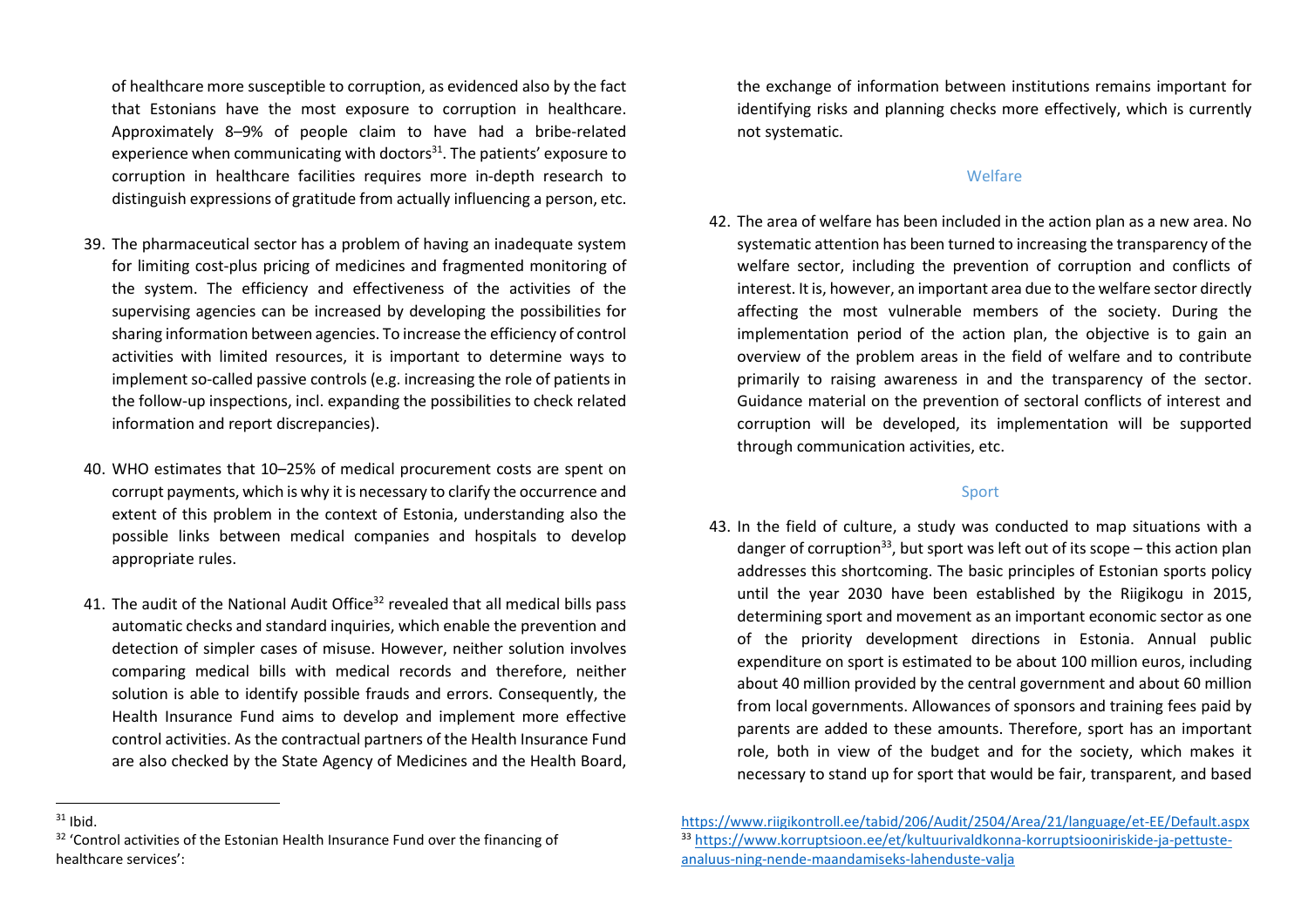of healthcare more susceptible to corruption, as evidenced also by the fact that Estonians have the most exposure to corruption in healthcare. Approximately 8–9% of people claim to have had a bribe-related experience when communicating with doctors $31$ . The patients' exposure to corruption in healthcare facilities requires more in-depth research to distinguish expressions of gratitude from actually influencing a person, etc.

- 39. The pharmaceutical sector has a problem of having an inadequate system for limiting cost-plus pricing of medicines and fragmented monitoring of the system. The efficiency and effectiveness of the activities of the supervising agencies can be increased by developing the possibilities for sharing information between agencies. To increase the efficiency of control activities with limited resources, it is important to determine ways to implement so-called passive controls (e.g. increasing the role of patients in the follow-up inspections, incl. expanding the possibilities to check related information and report discrepancies).
- 40. WHO estimates that 10–25% of medical procurement costs are spent on corrupt payments, which is why it is necessary to clarify the occurrence and extent of this problem in the context of Estonia, understanding also the possible links between medical companies and hospitals to develop appropriate rules.
- 41. The audit of the National Audit Office<sup>32</sup> revealed that all medical bills pass automatic checks and standard inquiries, which enable the prevention and detection of simpler cases of misuse. However, neither solution involves comparing medical bills with medical records and therefore, neither solution is able to identify possible frauds and errors. Consequently, the Health Insurance Fund aims to develop and implement more effective control activities. As the contractual partners of the Health Insurance Fund are also checked by the State Agency of Medicines and the Health Board,

the exchange of information between institutions remains important for identifying risks and planning checks more effectively, which is currently not systematic.

#### **Welfare**

42. The area of welfare has been included in the action plan as a new area. No systematic attention has been turned to increasing the transparency of the welfare sector, including the prevention of corruption and conflicts of interest. It is, however, an important area due to the welfare sector directly affecting the most vulnerable members of the society. During the implementation period of the action plan, the objective is to gain an overview of the problem areas in the field of welfare and to contribute primarily to raising awareness in and the transparency of the sector. Guidance material on the prevention of sectoral conflicts of interest and corruption will be developed, its implementation will be supported through communication activities, etc.

#### Sport

43. In the field of culture, a study was conducted to map situations with a danger of corruption<sup>33</sup>, but sport was left out of its scope – this action plan addresses this shortcoming. The basic principles of Estonian sports policy until the year 2030 have been established by the Riigikogu in 2015, determining sport and movement as an important economic sector as one of the priority development directions in Estonia. Annual public expenditure on sport is estimated to be about 100 million euros, including about 40 million provided by the central government and about 60 million from local governments. Allowances of sponsors and training fees paid by parents are added to these amounts. Therefore, sport has an important role, both in view of the budget and for the society, which makes it necessary to stand up for sport that would be fair, transparent, and based

 $31$  Ibid.

 $32$  'Control activities of the Estonian Health Insurance Fund over the financing of healthcare services':

https://www.riigikontroll.ee/tabid/206/Audit/2504/Area/21/language/et-EE/Default.aspx33 https://www.korruptsioon.ee/et/kultuurivaldkonna-korruptsiooniriskide-ja-pettusteanaluus-ning-nende-maandamiseks-lahenduste-valja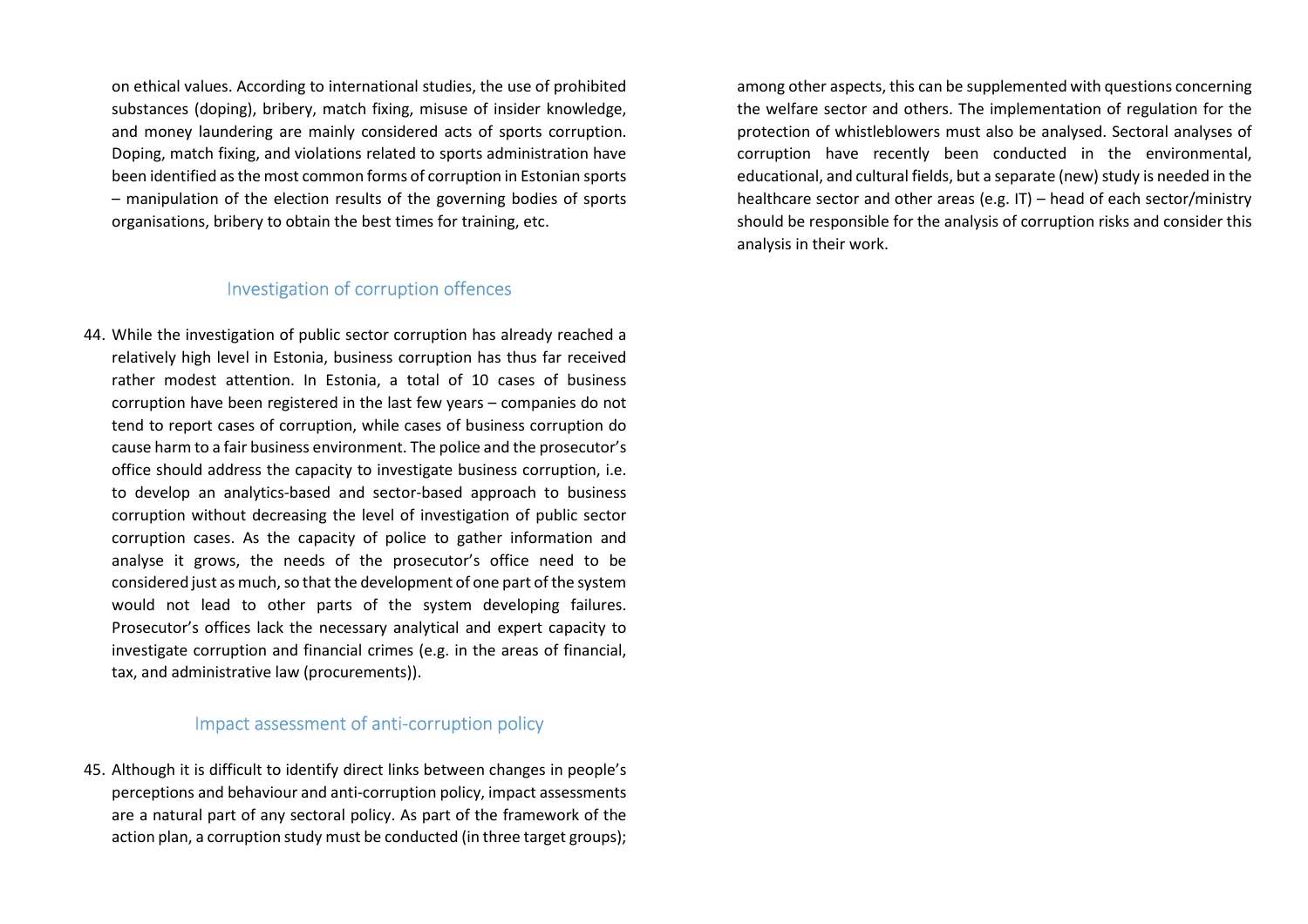on ethical values. According to international studies, the use of prohibited substances (doping), bribery, match fixing, misuse of insider knowledge, and money laundering are mainly considered acts of sports corruption. Doping, match fixing, and violations related to sports administration have been identified as the most common forms of corruption in Estonian sports – manipulation of the election results of the governing bodies of sports organisations, bribery to obtain the best times for training, etc.

## Investigation of corruption offences

44. While the investigation of public sector corruption has already reached a relatively high level in Estonia, business corruption has thus far received rather modest attention. In Estonia, a total of 10 cases of business corruption have been registered in the last few years – companies do not tend to report cases of corruption, while cases of business corruption do cause harm to a fair business environment. The police and the prosecutor's office should address the capacity to investigate business corruption, i.e. to develop an analytics-based and sector-based approach to business corruption without decreasing the level of investigation of public sector corruption cases. As the capacity of police to gather information and analyse it grows, the needs of the prosecutor's office need to be considered just as much, so that the development of one part of the system would not lead to other parts of the system developing failures. Prosecutor's offices lack the necessary analytical and expert capacity to investigate corruption and financial crimes (e.g. in the areas of financial, tax, and administrative law (procurements)).

## Impact assessment of anti-corruption policy

45. Although it is difficult to identify direct links between changes in people's perceptions and behaviour and anti-corruption policy, impact assessments are a natural part of any sectoral policy. As part of the framework of the action plan, a corruption study must be conducted (in three target groups);

among other aspects, this can be supplemented with questions concerning the welfare sector and others. The implementation of regulation for the protection of whistleblowers must also be analysed. Sectoral analyses of corruption have recently been conducted in the environmental, educational, and cultural fields, but a separate (new) study is needed in the healthcare sector and other areas (e.g. IT) – head of each sector/ministry should be responsible for the analysis of corruption risks and consider this analysis in their work.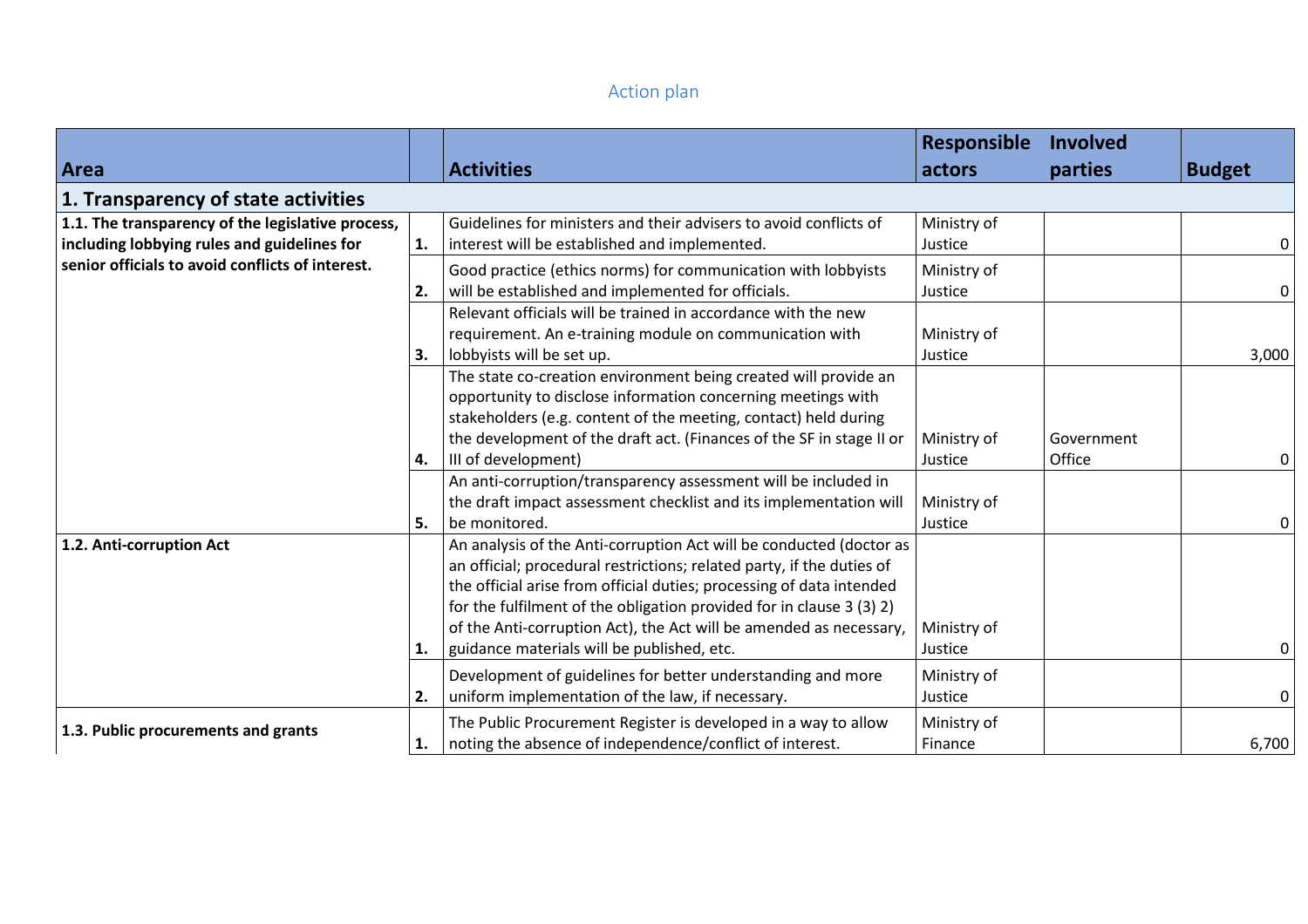# Action plan

|                                                   |    |                                                                       | Responsible | <b>Involved</b> |               |
|---------------------------------------------------|----|-----------------------------------------------------------------------|-------------|-----------------|---------------|
| Area                                              |    | <b>Activities</b>                                                     | actors      | parties         | <b>Budget</b> |
| 1. Transparency of state activities               |    |                                                                       |             |                 |               |
| 1.1. The transparency of the legislative process, |    | Guidelines for ministers and their advisers to avoid conflicts of     | Ministry of |                 |               |
| including lobbying rules and guidelines for       | 1. | interest will be established and implemented.                         | Justice     |                 |               |
| senior officials to avoid conflicts of interest.  |    | Good practice (ethics norms) for communication with lobbyists         | Ministry of |                 |               |
|                                                   | 2. | will be established and implemented for officials.                    | Justice     |                 | 0             |
|                                                   |    | Relevant officials will be trained in accordance with the new         |             |                 |               |
|                                                   |    | requirement. An e-training module on communication with               | Ministry of |                 |               |
|                                                   | 3. | lobbyists will be set up.                                             | Justice     |                 | 3,000         |
|                                                   |    | The state co-creation environment being created will provide an       |             |                 |               |
|                                                   |    | opportunity to disclose information concerning meetings with          |             |                 |               |
|                                                   |    | stakeholders (e.g. content of the meeting, contact) held during       |             |                 |               |
|                                                   |    | the development of the draft act. (Finances of the SF in stage II or  | Ministry of | Government      |               |
|                                                   | 4. | III of development)                                                   | Justice     | Office          | 0             |
|                                                   |    | An anti-corruption/transparency assessment will be included in        |             |                 |               |
|                                                   |    | the draft impact assessment checklist and its implementation will     | Ministry of |                 |               |
|                                                   | 5. | be monitored.                                                         | Justice     |                 |               |
| 1.2. Anti-corruption Act                          |    | An analysis of the Anti-corruption Act will be conducted (doctor as   |             |                 |               |
|                                                   |    | an official; procedural restrictions; related party, if the duties of |             |                 |               |
|                                                   |    | the official arise from official duties; processing of data intended  |             |                 |               |
|                                                   |    | for the fulfilment of the obligation provided for in clause 3 (3) 2)  |             |                 |               |
|                                                   |    | of the Anti-corruption Act), the Act will be amended as necessary,    | Ministry of |                 |               |
|                                                   | 1. | guidance materials will be published, etc.                            | Justice     |                 |               |
|                                                   |    | Development of guidelines for better understanding and more           | Ministry of |                 |               |
|                                                   | 2. | uniform implementation of the law, if necessary.                      | Justice     |                 |               |
|                                                   |    | The Public Procurement Register is developed in a way to allow        | Ministry of |                 |               |
| 1.3. Public procurements and grants               | 1. | noting the absence of independence/conflict of interest.              | Finance     |                 | 6,700         |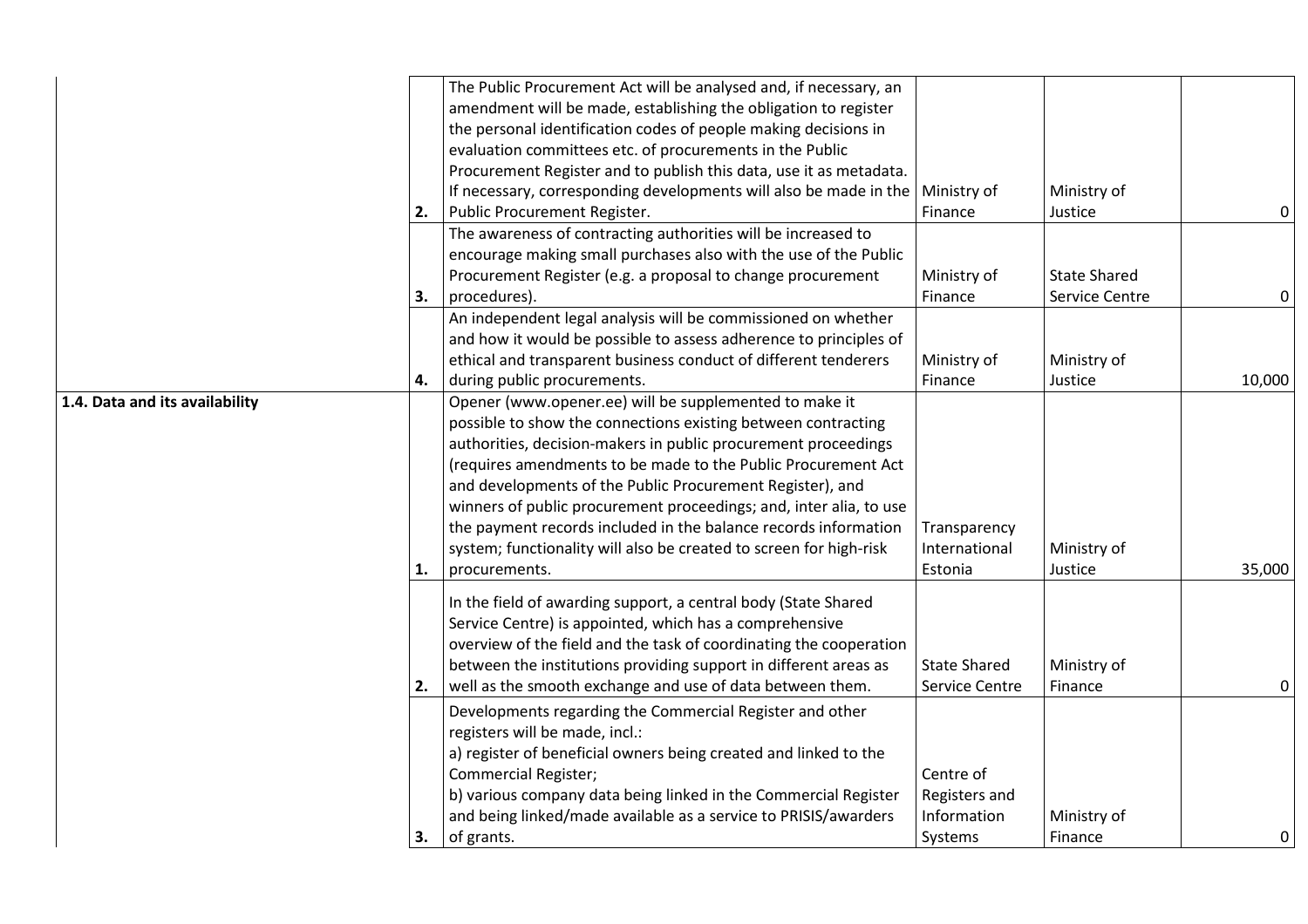|                                |    | The Public Procurement Act will be analysed and, if necessary, an<br>amendment will be made, establishing the obligation to register<br>the personal identification codes of people making decisions in<br>evaluation committees etc. of procurements in the Public<br>Procurement Register and to publish this data, use it as metadata.<br>If necessary, corresponding developments will also be made in the $\vert$ Ministry of                                                                                                                      |                                                      | Ministry of                                  |             |
|--------------------------------|----|---------------------------------------------------------------------------------------------------------------------------------------------------------------------------------------------------------------------------------------------------------------------------------------------------------------------------------------------------------------------------------------------------------------------------------------------------------------------------------------------------------------------------------------------------------|------------------------------------------------------|----------------------------------------------|-------------|
|                                | 2. | Public Procurement Register.                                                                                                                                                                                                                                                                                                                                                                                                                                                                                                                            | Finance                                              | Justice                                      | $\pmb{0}$   |
|                                | 3. | The awareness of contracting authorities will be increased to<br>encourage making small purchases also with the use of the Public<br>Procurement Register (e.g. a proposal to change procurement<br>procedures).                                                                                                                                                                                                                                                                                                                                        | Ministry of<br>Finance                               | <b>State Shared</b><br><b>Service Centre</b> | $\mathbf 0$ |
|                                | 4. | An independent legal analysis will be commissioned on whether<br>and how it would be possible to assess adherence to principles of<br>ethical and transparent business conduct of different tenderers<br>during public procurements.                                                                                                                                                                                                                                                                                                                    | Ministry of<br>Finance                               | Ministry of<br>Justice                       | 10,000      |
| 1.4. Data and its availability | 1. | Opener (www.opener.ee) will be supplemented to make it<br>possible to show the connections existing between contracting<br>authorities, decision-makers in public procurement proceedings<br>(requires amendments to be made to the Public Procurement Act<br>and developments of the Public Procurement Register), and<br>winners of public procurement proceedings; and, inter alia, to use<br>the payment records included in the balance records information<br>system; functionality will also be created to screen for high-risk<br>procurements. | Transparency<br>International<br>Estonia             | Ministry of<br>Justice                       | 35,000      |
|                                | 2. | In the field of awarding support, a central body (State Shared<br>Service Centre) is appointed, which has a comprehensive<br>overview of the field and the task of coordinating the cooperation<br>between the institutions providing support in different areas as<br>well as the smooth exchange and use of data between them.                                                                                                                                                                                                                        | <b>State Shared</b><br>Service Centre                | Ministry of<br>Finance                       | 0           |
|                                | 3. | Developments regarding the Commercial Register and other<br>registers will be made, incl.:<br>a) register of beneficial owners being created and linked to the<br><b>Commercial Register;</b><br>b) various company data being linked in the Commercial Register<br>and being linked/made available as a service to PRISIS/awarders<br>of grants.                                                                                                                                                                                                       | Centre of<br>Registers and<br>Information<br>Systems | Ministry of<br>Finance                       | 0           |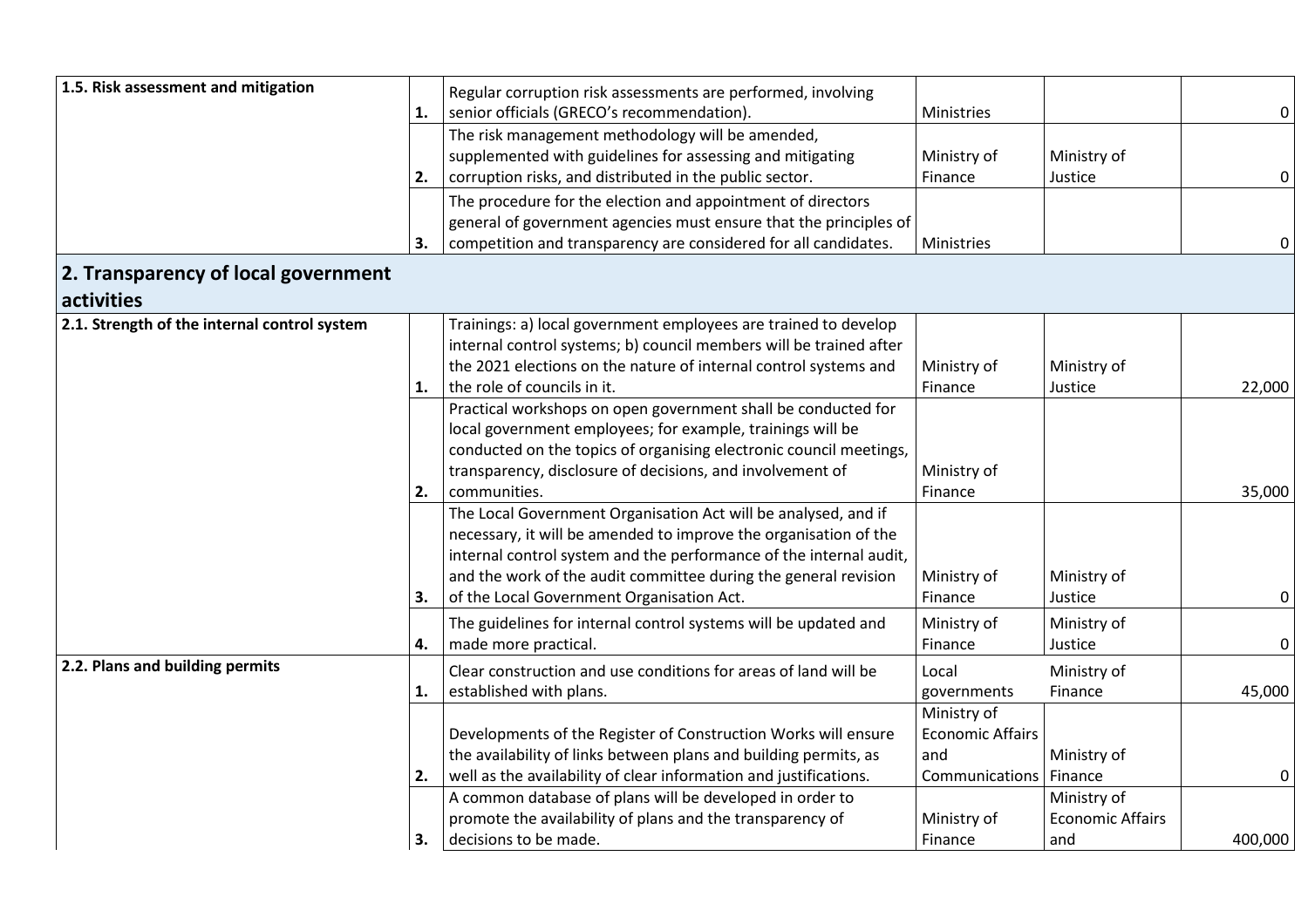| 1.5. Risk assessment and mitigation               |    | Regular corruption risk assessments are performed, involving       |                         |                         |             |
|---------------------------------------------------|----|--------------------------------------------------------------------|-------------------------|-------------------------|-------------|
|                                                   | 1. | senior officials (GRECO's recommendation).                         | Ministries              |                         | 0           |
|                                                   |    | The risk management methodology will be amended,                   |                         |                         |             |
|                                                   |    | supplemented with guidelines for assessing and mitigating          | Ministry of             | Ministry of             |             |
|                                                   | 2. | corruption risks, and distributed in the public sector.            | Finance                 | Justice                 | $\mathbf 0$ |
|                                                   |    | The procedure for the election and appointment of directors        |                         |                         |             |
|                                                   |    | general of government agencies must ensure that the principles of  |                         |                         |             |
|                                                   | 3. | competition and transparency are considered for all candidates.    | Ministries              |                         | 0           |
| 2. Transparency of local government<br>activities |    |                                                                    |                         |                         |             |
| 2.1. Strength of the internal control system      |    | Trainings: a) local government employees are trained to develop    |                         |                         |             |
|                                                   |    | internal control systems; b) council members will be trained after |                         |                         |             |
|                                                   |    | the 2021 elections on the nature of internal control systems and   | Ministry of             | Ministry of             |             |
|                                                   | 1. | the role of councils in it.                                        | Finance                 | Justice                 | 22,000      |
|                                                   |    | Practical workshops on open government shall be conducted for      |                         |                         |             |
|                                                   |    | local government employees; for example, trainings will be         |                         |                         |             |
|                                                   |    | conducted on the topics of organising electronic council meetings, |                         |                         |             |
|                                                   |    | transparency, disclosure of decisions, and involvement of          | Ministry of             |                         |             |
|                                                   | 2. | communities.                                                       | Finance                 |                         | 35,000      |
|                                                   |    | The Local Government Organisation Act will be analysed, and if     |                         |                         |             |
|                                                   |    | necessary, it will be amended to improve the organisation of the   |                         |                         |             |
|                                                   |    | internal control system and the performance of the internal audit, |                         |                         |             |
|                                                   |    | and the work of the audit committee during the general revision    | Ministry of             | Ministry of             |             |
|                                                   | 3. | of the Local Government Organisation Act.                          | Finance                 | Justice                 | 0           |
|                                                   |    | The guidelines for internal control systems will be updated and    | Ministry of             | Ministry of             |             |
|                                                   | 4. | made more practical.                                               | Finance                 | Justice                 | 0           |
| 2.2. Plans and building permits                   |    | Clear construction and use conditions for areas of land will be    | Local                   | Ministry of             |             |
|                                                   | 1. | established with plans.                                            | governments             | Finance                 | 45,000      |
|                                                   |    |                                                                    | Ministry of             |                         |             |
|                                                   |    | Developments of the Register of Construction Works will ensure     | <b>Economic Affairs</b> |                         |             |
|                                                   |    | the availability of links between plans and building permits, as   | and                     | Ministry of             |             |
|                                                   | 2. | well as the availability of clear information and justifications.  | Communications          | Finance                 | 0           |
|                                                   |    | A common database of plans will be developed in order to           |                         | Ministry of             |             |
|                                                   |    | promote the availability of plans and the transparency of          | Ministry of             | <b>Economic Affairs</b> |             |
|                                                   | 3. | decisions to be made.                                              | Finance                 | and                     | 400,000     |
|                                                   |    |                                                                    |                         |                         |             |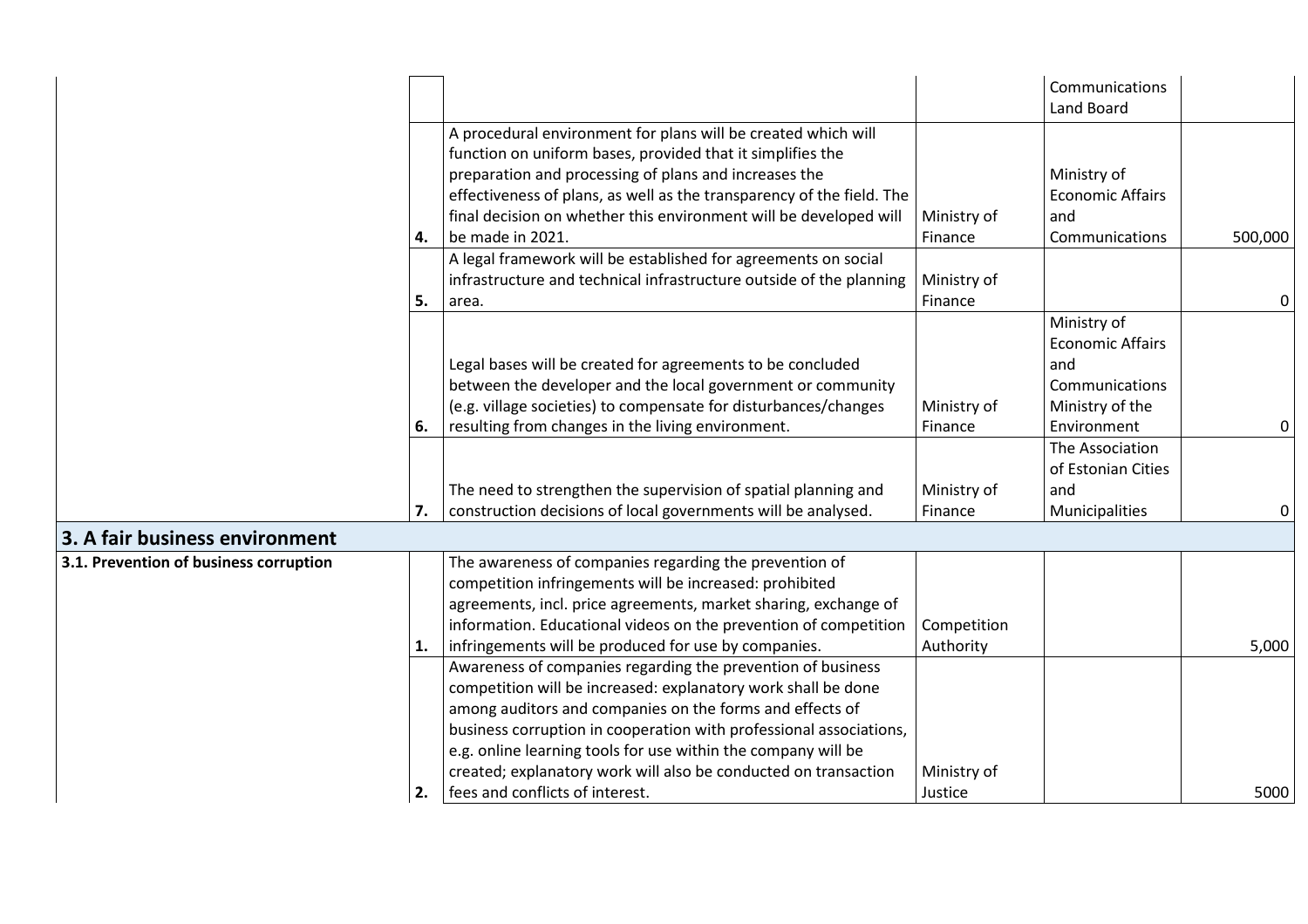|                                        |    |                                                                       |             | Communications<br>Land Board           |             |
|----------------------------------------|----|-----------------------------------------------------------------------|-------------|----------------------------------------|-------------|
|                                        |    | A procedural environment for plans will be created which will         |             |                                        |             |
|                                        |    | function on uniform bases, provided that it simplifies the            |             |                                        |             |
|                                        |    | preparation and processing of plans and increases the                 |             | Ministry of                            |             |
|                                        |    | effectiveness of plans, as well as the transparency of the field. The |             | <b>Economic Affairs</b>                |             |
|                                        |    | final decision on whether this environment will be developed will     | Ministry of | and                                    |             |
|                                        | 4. | be made in 2021.                                                      | Finance     | Communications                         | 500,000     |
|                                        |    | A legal framework will be established for agreements on social        |             |                                        |             |
|                                        |    | infrastructure and technical infrastructure outside of the planning   | Ministry of |                                        |             |
|                                        | 5. | area.                                                                 | Finance     |                                        | $\mathbf 0$ |
|                                        |    |                                                                       |             | Ministry of<br><b>Economic Affairs</b> |             |
|                                        |    | Legal bases will be created for agreements to be concluded            |             | and                                    |             |
|                                        |    | between the developer and the local government or community           |             | Communications                         |             |
|                                        |    | (e.g. village societies) to compensate for disturbances/changes       | Ministry of | Ministry of the                        |             |
|                                        | 6. | resulting from changes in the living environment.                     | Finance     | Environment                            | 0           |
|                                        |    |                                                                       |             | The Association                        |             |
|                                        |    |                                                                       |             | of Estonian Cities                     |             |
|                                        |    | The need to strengthen the supervision of spatial planning and        | Ministry of | and                                    |             |
|                                        | 7. | construction decisions of local governments will be analysed.         | Finance     | Municipalities                         | 0           |
| 3. A fair business environment         |    |                                                                       |             |                                        |             |
| 3.1. Prevention of business corruption |    | The awareness of companies regarding the prevention of                |             |                                        |             |
|                                        |    | competition infringements will be increased: prohibited               |             |                                        |             |
|                                        |    | agreements, incl. price agreements, market sharing, exchange of       |             |                                        |             |
|                                        |    | information. Educational videos on the prevention of competition      | Competition |                                        |             |
|                                        | 1. | infringements will be produced for use by companies.                  | Authority   |                                        | 5,000       |
|                                        |    | Awareness of companies regarding the prevention of business           |             |                                        |             |
|                                        |    | competition will be increased: explanatory work shall be done         |             |                                        |             |
|                                        |    | among auditors and companies on the forms and effects of              |             |                                        |             |
|                                        |    | business corruption in cooperation with professional associations,    |             |                                        |             |
|                                        |    | e.g. online learning tools for use within the company will be         |             |                                        |             |
|                                        |    | created; explanatory work will also be conducted on transaction       | Ministry of |                                        |             |
|                                        | 2. | fees and conflicts of interest.                                       | Justice     |                                        | 5000        |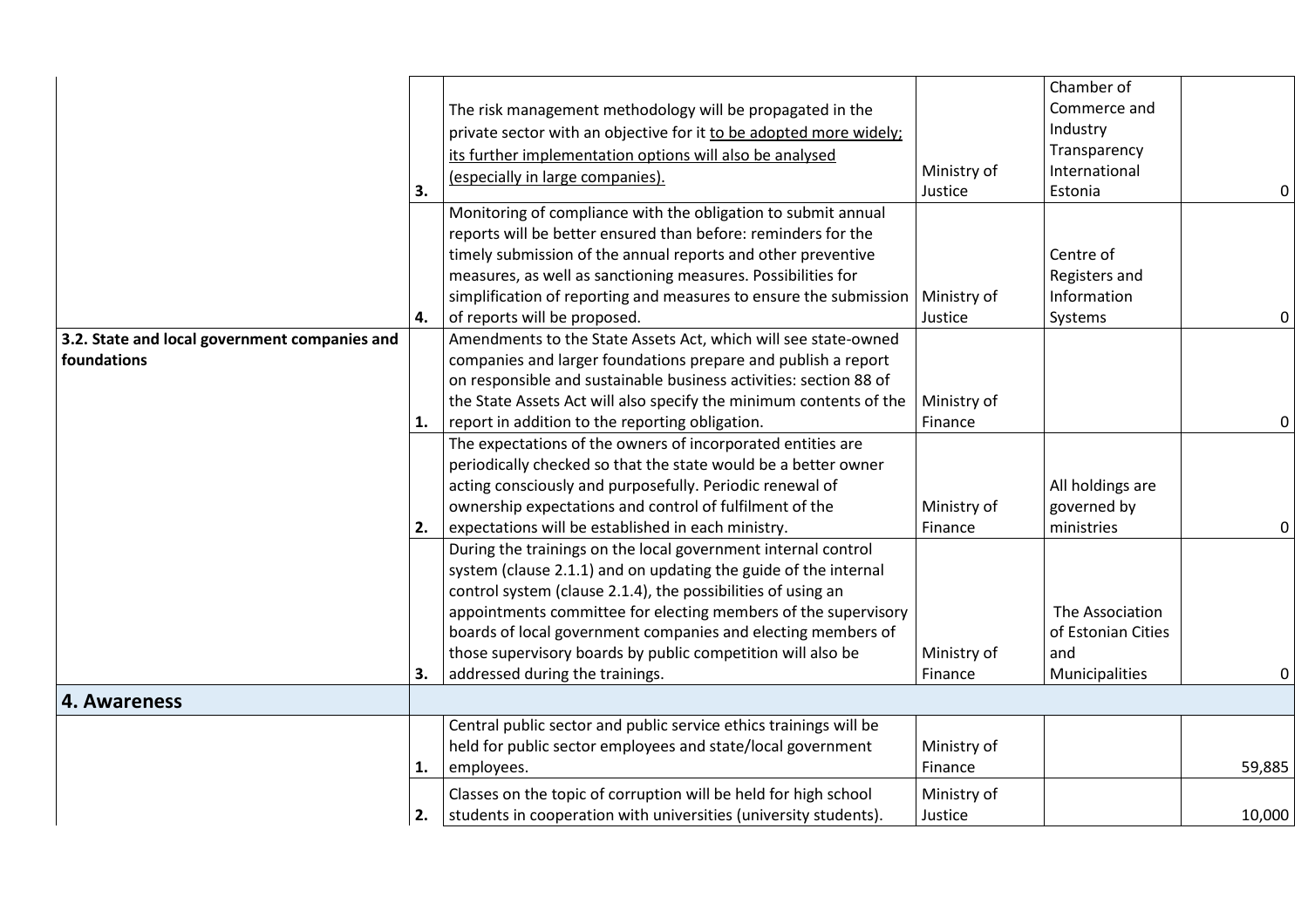|                                               |    |                                                                    |             | Chamber of         |        |
|-----------------------------------------------|----|--------------------------------------------------------------------|-------------|--------------------|--------|
|                                               |    | The risk management methodology will be propagated in the          |             | Commerce and       |        |
|                                               |    | private sector with an objective for it to be adopted more widely; |             | Industry           |        |
|                                               |    | its further implementation options will also be analysed           |             | Transparency       |        |
|                                               |    | (especially in large companies).                                   | Ministry of | International      |        |
|                                               | 3. |                                                                    | Justice     | Estonia            | 0      |
|                                               |    | Monitoring of compliance with the obligation to submit annual      |             |                    |        |
|                                               |    | reports will be better ensured than before: reminders for the      |             |                    |        |
|                                               |    | timely submission of the annual reports and other preventive       |             | Centre of          |        |
|                                               |    | measures, as well as sanctioning measures. Possibilities for       |             | Registers and      |        |
|                                               |    | simplification of reporting and measures to ensure the submission  | Ministry of | Information        |        |
|                                               | 4. | of reports will be proposed.                                       | Justice     | Systems            | 0      |
| 3.2. State and local government companies and |    | Amendments to the State Assets Act, which will see state-owned     |             |                    |        |
| foundations                                   |    | companies and larger foundations prepare and publish a report      |             |                    |        |
|                                               |    | on responsible and sustainable business activities: section 88 of  |             |                    |        |
|                                               |    | the State Assets Act will also specify the minimum contents of the | Ministry of |                    |        |
|                                               | 1. | report in addition to the reporting obligation.                    | Finance     |                    | 0      |
|                                               |    | The expectations of the owners of incorporated entities are        |             |                    |        |
|                                               |    | periodically checked so that the state would be a better owner     |             |                    |        |
|                                               |    | acting consciously and purposefully. Periodic renewal of           |             | All holdings are   |        |
|                                               |    | ownership expectations and control of fulfilment of the            | Ministry of | governed by        |        |
|                                               | 2. | expectations will be established in each ministry.                 | Finance     | ministries         | 0      |
|                                               |    | During the trainings on the local government internal control      |             |                    |        |
|                                               |    | system (clause 2.1.1) and on updating the guide of the internal    |             |                    |        |
|                                               |    | control system (clause 2.1.4), the possibilities of using an       |             |                    |        |
|                                               |    | appointments committee for electing members of the supervisory     |             | The Association    |        |
|                                               |    | boards of local government companies and electing members of       |             | of Estonian Cities |        |
|                                               |    | those supervisory boards by public competition will also be        | Ministry of | and                |        |
|                                               | 3. | addressed during the trainings.                                    | Finance     | Municipalities     | 0      |
| 4. Awareness                                  |    |                                                                    |             |                    |        |
|                                               |    | Central public sector and public service ethics trainings will be  |             |                    |        |
|                                               |    | held for public sector employees and state/local government        | Ministry of |                    |        |
|                                               | 1. | employees.                                                         | Finance     |                    | 59,885 |
|                                               |    | Classes on the topic of corruption will be held for high school    | Ministry of |                    |        |
|                                               | 2. | students in cooperation with universities (university students).   | Justice     |                    | 10,000 |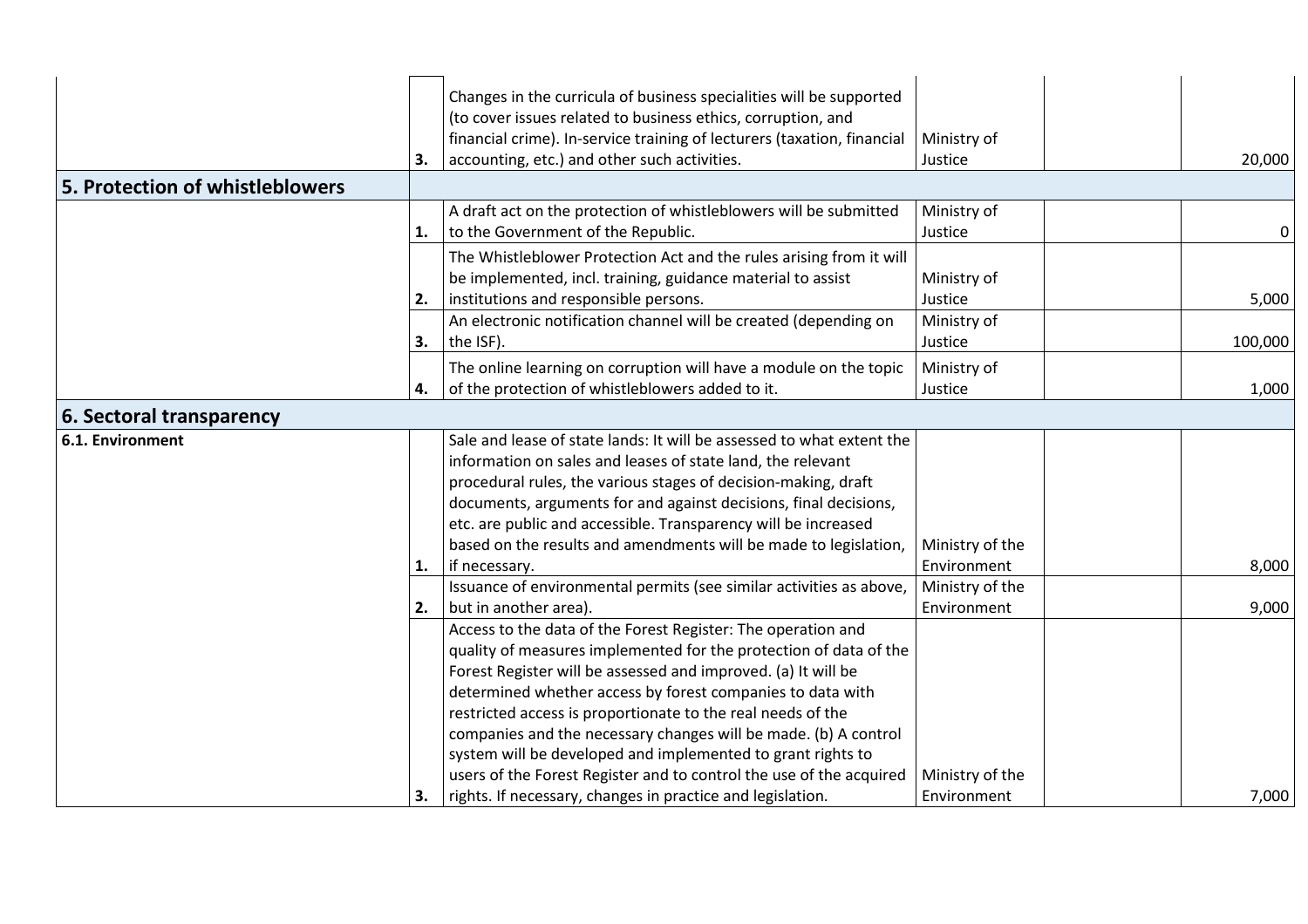|                                 | 3. | Changes in the curricula of business specialities will be supported<br>(to cover issues related to business ethics, corruption, and<br>financial crime). In-service training of lecturers (taxation, financial<br>accounting, etc.) and other such activities.                                                                                                                                                                                                                                                                           | Ministry of<br>Justice         | 20,000  |
|---------------------------------|----|------------------------------------------------------------------------------------------------------------------------------------------------------------------------------------------------------------------------------------------------------------------------------------------------------------------------------------------------------------------------------------------------------------------------------------------------------------------------------------------------------------------------------------------|--------------------------------|---------|
| 5. Protection of whistleblowers |    |                                                                                                                                                                                                                                                                                                                                                                                                                                                                                                                                          |                                |         |
|                                 | 1. | A draft act on the protection of whistleblowers will be submitted<br>to the Government of the Republic.                                                                                                                                                                                                                                                                                                                                                                                                                                  | Ministry of<br>Justice         | 0       |
|                                 | 2. | The Whistleblower Protection Act and the rules arising from it will<br>be implemented, incl. training, guidance material to assist<br>institutions and responsible persons.                                                                                                                                                                                                                                                                                                                                                              | Ministry of<br>Justice         | 5,000   |
|                                 | 3. | An electronic notification channel will be created (depending on<br>the ISF).                                                                                                                                                                                                                                                                                                                                                                                                                                                            | Ministry of<br>Justice         | 100,000 |
|                                 | 4. | The online learning on corruption will have a module on the topic<br>of the protection of whistleblowers added to it.                                                                                                                                                                                                                                                                                                                                                                                                                    | Ministry of<br>Justice         | 1,000   |
| 6. Sectoral transparency        |    |                                                                                                                                                                                                                                                                                                                                                                                                                                                                                                                                          |                                |         |
| <b>6.1. Environment</b>         |    | Sale and lease of state lands: It will be assessed to what extent the<br>information on sales and leases of state land, the relevant<br>procedural rules, the various stages of decision-making, draft<br>documents, arguments for and against decisions, final decisions,<br>etc. are public and accessible. Transparency will be increased<br>based on the results and amendments will be made to legislation,                                                                                                                         | Ministry of the                |         |
|                                 | 1. | if necessary.                                                                                                                                                                                                                                                                                                                                                                                                                                                                                                                            | Environment                    | 8,000   |
|                                 | 2. | Issuance of environmental permits (see similar activities as above,<br>but in another area).                                                                                                                                                                                                                                                                                                                                                                                                                                             | Ministry of the<br>Environment | 9,000   |
|                                 |    | Access to the data of the Forest Register: The operation and<br>quality of measures implemented for the protection of data of the<br>Forest Register will be assessed and improved. (a) It will be<br>determined whether access by forest companies to data with<br>restricted access is proportionate to the real needs of the<br>companies and the necessary changes will be made. (b) A control<br>system will be developed and implemented to grant rights to<br>users of the Forest Register and to control the use of the acquired | Ministry of the                |         |
|                                 | 3. | rights. If necessary, changes in practice and legislation.                                                                                                                                                                                                                                                                                                                                                                                                                                                                               | Environment                    | 7,000   |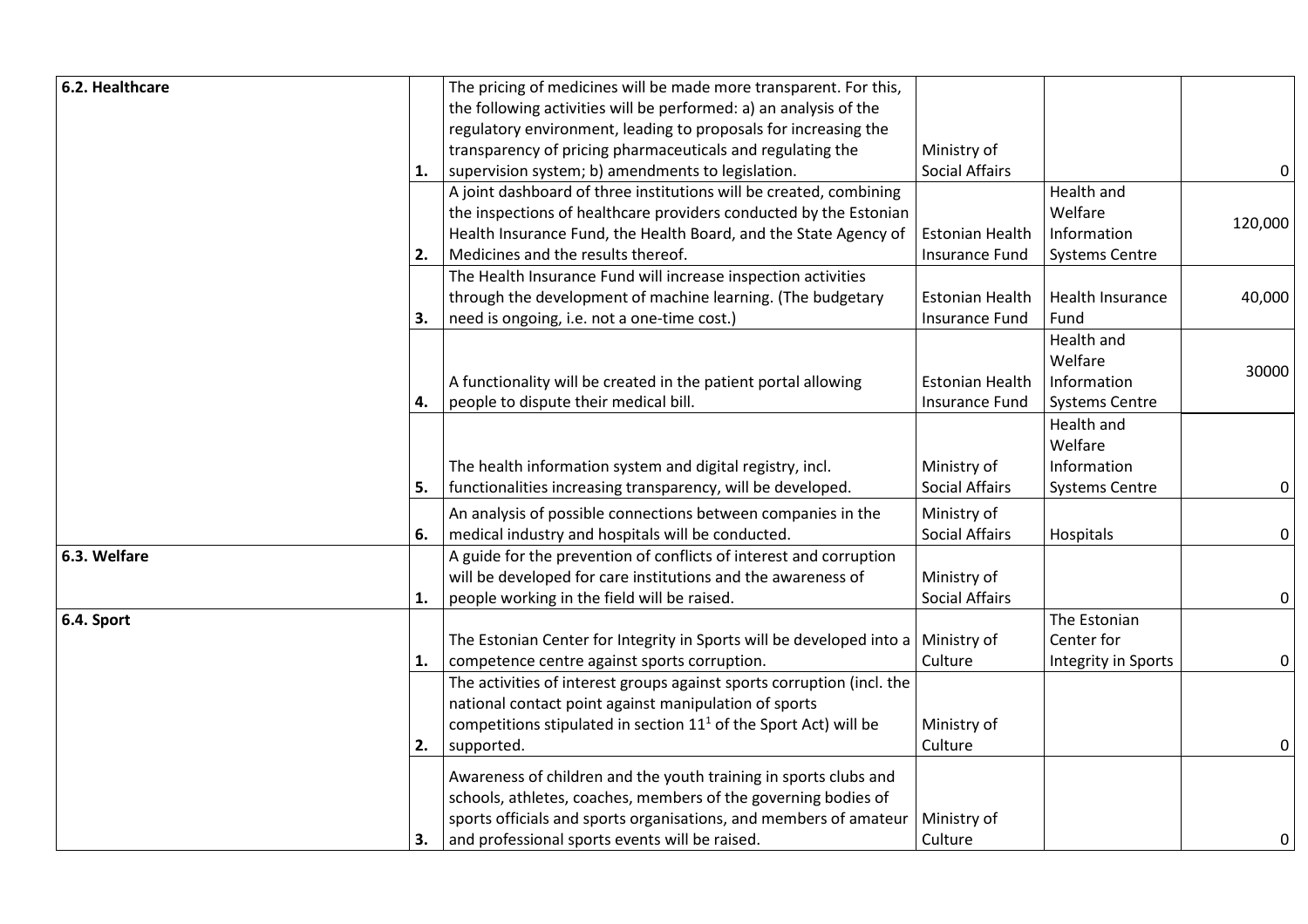| 6.2. Healthcare |    | The pricing of medicines will be made more transparent. For this,                |                        |                         |         |
|-----------------|----|----------------------------------------------------------------------------------|------------------------|-------------------------|---------|
|                 |    | the following activities will be performed: a) an analysis of the                |                        |                         |         |
|                 |    | regulatory environment, leading to proposals for increasing the                  |                        |                         |         |
|                 |    | transparency of pricing pharmaceuticals and regulating the                       | Ministry of            |                         |         |
|                 | 1. | supervision system; b) amendments to legislation.                                | <b>Social Affairs</b>  |                         | 0       |
|                 |    | A joint dashboard of three institutions will be created, combining               |                        | Health and              |         |
|                 |    | the inspections of healthcare providers conducted by the Estonian                |                        | Welfare                 |         |
|                 |    | Health Insurance Fund, the Health Board, and the State Agency of                 | <b>Estonian Health</b> | Information             | 120,000 |
|                 | 2. | Medicines and the results thereof.                                               | <b>Insurance Fund</b>  | <b>Systems Centre</b>   |         |
|                 |    | The Health Insurance Fund will increase inspection activities                    |                        |                         |         |
|                 |    | through the development of machine learning. (The budgetary                      | <b>Estonian Health</b> | <b>Health Insurance</b> | 40,000  |
|                 | 3. | need is ongoing, i.e. not a one-time cost.)                                      | <b>Insurance Fund</b>  | Fund                    |         |
|                 |    |                                                                                  |                        | Health and              |         |
|                 |    |                                                                                  |                        | Welfare                 |         |
|                 |    | A functionality will be created in the patient portal allowing                   | <b>Estonian Health</b> | Information             | 30000   |
|                 | 4. | people to dispute their medical bill.                                            | Insurance Fund         | <b>Systems Centre</b>   |         |
|                 |    |                                                                                  |                        | Health and              |         |
|                 |    |                                                                                  |                        | Welfare                 |         |
|                 |    | The health information system and digital registry, incl.                        | Ministry of            | Information             |         |
|                 | 5. | functionalities increasing transparency, will be developed.                      | <b>Social Affairs</b>  | <b>Systems Centre</b>   | 0       |
|                 |    | An analysis of possible connections between companies in the                     | Ministry of            |                         |         |
|                 | 6. | medical industry and hospitals will be conducted.                                | <b>Social Affairs</b>  | Hospitals               | 0       |
| 6.3. Welfare    |    | A guide for the prevention of conflicts of interest and corruption               |                        |                         |         |
|                 |    | will be developed for care institutions and the awareness of                     | Ministry of            |                         |         |
|                 | 1. | people working in the field will be raised.                                      | <b>Social Affairs</b>  |                         | 0       |
| 6.4. Sport      |    |                                                                                  |                        | The Estonian            |         |
|                 |    | The Estonian Center for Integrity in Sports will be developed into a Ministry of |                        | Center for              |         |
|                 | 1. | competence centre against sports corruption.                                     | Culture                | Integrity in Sports     | 0       |
|                 |    | The activities of interest groups against sports corruption (incl. the           |                        |                         |         |
|                 |    | national contact point against manipulation of sports                            |                        |                         |         |
|                 |    | competitions stipulated in section $111$ of the Sport Act) will be               | Ministry of            |                         |         |
|                 | 2. | supported.                                                                       | Culture                |                         | 0       |
|                 |    | Awareness of children and the youth training in sports clubs and                 |                        |                         |         |
|                 |    | schools, athletes, coaches, members of the governing bodies of                   |                        |                         |         |
|                 |    | sports officials and sports organisations, and members of amateur                | Ministry of            |                         |         |
|                 | 3. | and professional sports events will be raised.                                   | Culture                |                         | 0       |
|                 |    |                                                                                  |                        |                         |         |